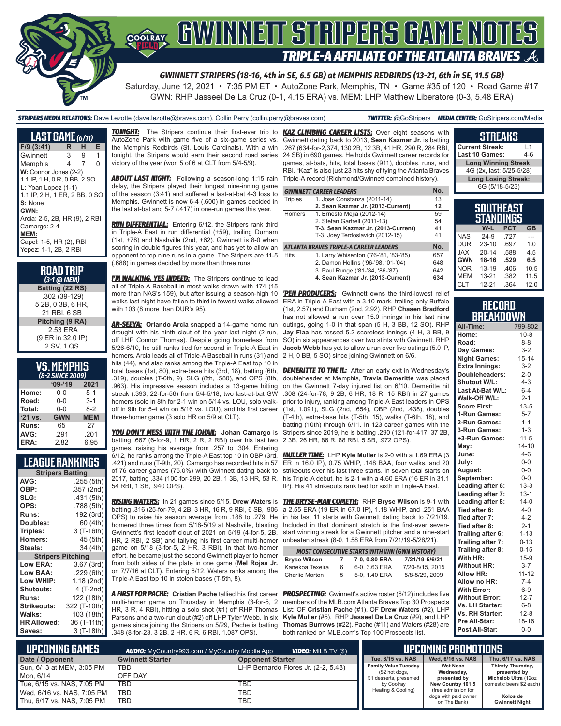

Saturday, June 12, 2021 • 7:35 PM ET • AutoZone Park, Memphis, TN • Game #35 of 120 • Road Game #17 GWN: RHP Jasseel De La Cruz (0-1, 4.15 ERA) vs. MEM: LHP Matthew Liberatore (0-3, 5.48 ERA)

#### *STRIPERS MEDIA RELATIONS:* Dave Lezotte (dave.lezotte@braves.com), Collin Perry (collin.perry@braves.com) *TWITTER:* @GoStripers *MEDIA CENTER:* GoStripers.com/Media

| <b>LAST GAME</b> (6/11)                                                                                           |                |   |   |  |  |  |
|-------------------------------------------------------------------------------------------------------------------|----------------|---|---|--|--|--|
| $F/9$ (3:41)                                                                                                      | R              | н | Е |  |  |  |
| Gwinnett                                                                                                          | 3              | 9 | 1 |  |  |  |
| Memphis                                                                                                           | $\overline{4}$ | 7 | 0 |  |  |  |
| W: Connor Jones (2-2)<br>1.1 IP, 1 H, 0 R, 0 BB, 2 SO                                                             |                |   |   |  |  |  |
| L: Yoan Lopez (1-1)<br>1.1 IP, 2 H, 1 ER, 2 BB, 0 SO                                                              |                |   |   |  |  |  |
| S: None                                                                                                           |                |   |   |  |  |  |
| GWN:<br>Arcia: 2-5, 2B, HR (9), 2 RBI<br>Camargo: 2-4<br>MEM:<br>Capel: 1-5, HR (2), RBI<br>Yepez: 1-1, 2B, 2 RBI |                |   |   |  |  |  |

| <b>ROAD TRIP</b><br>(3-1 @ МЕМ) |
|---------------------------------|
| Batting (22 RS)                 |
| .302 (39-129)                   |
| 5 2B, 0 3B, 6 HR,               |
| 21 RBI, 6 SB                    |
| Pitching (9 RA)                 |
| 2.53 ERA                        |
| (9 ER in 32.0 IP)               |
| 2 SV, 1 QS                      |

#### **VS. MEMPHIS** *(8-2 SINCE 2009)*

| $09 - 19$  | 2021       |  |  |  |  |
|------------|------------|--|--|--|--|
| $0 - 0$    | $5-1$      |  |  |  |  |
| $0 - 0$    | $3 - 1$    |  |  |  |  |
| $0 - 0$    | $8-2$      |  |  |  |  |
| <b>GWN</b> | <b>MEM</b> |  |  |  |  |
| 65         | 27         |  |  |  |  |
| .291       | .201       |  |  |  |  |
| 2.82       | 6.95       |  |  |  |  |
|            |            |  |  |  |  |

#### **LEAGUE RANKINGS**

| AVG:<br>.255 (5th)<br>OBP:<br>.357 (2nd)<br>SLG:<br>.431 (5th)<br>OPS:<br>.788 (5th)<br>192 (3rd)<br><b>Runs:</b><br>60 (4th)<br>Doubles:<br>3 (T-16th)<br>Triples:<br>45 (5th)<br><b>Homers:</b><br>34 (4th)<br>Steals:<br><b>Stripers Pitching</b><br><b>Low ERA:</b><br>3.67 (3rd)<br>Low BAA: |
|---------------------------------------------------------------------------------------------------------------------------------------------------------------------------------------------------------------------------------------------------------------------------------------------------|
|                                                                                                                                                                                                                                                                                                   |
|                                                                                                                                                                                                                                                                                                   |
|                                                                                                                                                                                                                                                                                                   |
|                                                                                                                                                                                                                                                                                                   |
|                                                                                                                                                                                                                                                                                                   |
|                                                                                                                                                                                                                                                                                                   |
|                                                                                                                                                                                                                                                                                                   |
|                                                                                                                                                                                                                                                                                                   |
|                                                                                                                                                                                                                                                                                                   |
|                                                                                                                                                                                                                                                                                                   |
|                                                                                                                                                                                                                                                                                                   |
| .229(6th)                                                                                                                                                                                                                                                                                         |
| Low WHIP:<br>1.18 (2nd)                                                                                                                                                                                                                                                                           |
| 4 (T-2nd)<br>Shutouts:                                                                                                                                                                                                                                                                            |
| 122 (18th)<br><b>Runs:</b>                                                                                                                                                                                                                                                                        |
| <b>Strikeouts:</b><br>322 (T-10th)                                                                                                                                                                                                                                                                |
| Walks:<br>103 (18th)                                                                                                                                                                                                                                                                              |
| <b>HR Allowed:</b><br>36 (T-11th)                                                                                                                                                                                                                                                                 |
| 3 (T-18th)<br>Saves:                                                                                                                                                                                                                                                                              |

AutoZone Park with game five of a six-game series vs. the Memphis Redbirds (St. Louis Cardinals). With a win tonight, the Stripers would earn their second road series victory of the year (won 5 of 6 at CLT from 5/4-5/9).

**ABOUT LAST NIGHT:** Following a season-long 1:15 rain delay, the Stripers played their longest nine-inning game of the season (3:41) and suffered a last-at-bat 4-3 loss to Memphis. Gwinnett is now 6-4 (.600) in games decided in the last at-bat and 5-7 (.417) in one-run games this year.

*RUN DIFFERENTIAL:* Entering 6/12, the Stripers rank third in Triple-A East in run differential (+59), trailing Durham (1st, +78) and Nashville (2nd, +62). Gwinnett is 8-0 when scoring in double figures this year, and has yet to allow an opponent to top nine runs in a game. The Stripers are 11-5 (.688) in games decided by more than three runs.

**I'M WALKING, YES INDEED:** The Stripers continue to lead all of Triple-A Baseball in most walks drawn with 174 (15 more than NAS's 159), but after issuing a season-high 10 walks last night have fallen to third in fewest walks allowed with 103 (8 more than DUR's 95).

*AR-SEEYA:* **Orlando Arcia** snapped a 14-game home run drought with his ninth clout of the year last night (2-run, off LHP Connor Thomas). Despite going homerless from 5/26-6/10, he still ranks tied for second in Triple-A East in homers. Arcia leads all of Triple-A Baseball in runs (31) and hits (44), and also ranks among the Triple-A East top 10 in .319), doubles (T-6th, 9), SLG (8th, .580), and OPS (8th, .963). His impressive season includes a 13-game hitting streak (.393, 22-for-56) from 5/4-5/18, two last-at-bat GW homers (solo in 8th for 2-1 win on 5/14 vs. LOU, solo walkoff in 9th for 5-4 win on 5/16 vs. LOU), and his first career three-homer game (3 solo HR on 5/9 at CLT).

*YOU DON'T MESS WITH THE JOHAN:* **Johan Camargo** is batting .667 (6-for-9, 1 HR, 2 R, 2 RBI) over his last two games, raising his average from .257 to .304. Entering 6/12, he ranks among the Triple-A East top 10 in OBP (3rd, .421) and runs (T-9th, 20). Camargo has recorded hits in 57 of 76 career games (75.0%) with Gwinnett dating back to 2017, batting .334 (100-for-299, 20 2B, 1 3B, 13 HR, 53 R, 54 RBI, 1 SB, .940 OPS).

batting .316 (25-for-79, 4 2B, 3 HR, 16 R, 9 RBI, 6 SB, .906 OPS) to raise his season average from .188 to .279. He homered three times from 5/18-5/19 at Nashville, blasting Gwinnett's first leadoff clout of 2021 on 5/19 (4-for-5, 2B, HR, 2 RBI, 2 SB) and tallying his first career multi-homer unbeaten streak (8-0, 1.58 ERA from 7/21/19-5/28/21). game on 5/18 (3-for-5, 2 HR, 3 RBI). In that two-homer effort, he became just the second Gwinnett player to homer from both sides of the plate in one game (**Mel Rojas Jr.** on 7/7/16 at CLT). Entering 6/12, Waters ranks among the Triple-A East top 10 in stolen bases (T-5th, 8).

*A FIRST FOR PACHE:* **Cristian Pache** tallied his first career *PROSPECTING:* Gwinnett's active roster (6/12) includes five multi-homer game on Thursday in Memphis (3-for-5, 2 HR, 3 R, 4 RBI), hitting a solo shot (#1) off RHP Thomas Parsons and a two-run clout (#2) off LHP Tyler Webb. In six **Kyle Muller** (#5), RHP **Jasseel De La Cruz** (#9), and LHP games since joining the Stripers on 5/29, Pache is batting .348 (8-for-23, 3 2B, 2 HR, 6 R, 6 RBI, 1.087 OPS).

*TONIGHT:* The Stripers continue their first-ever trip to *KAZ CLIMBING CAREER LISTS:* Over eight seasons with Gwinnett dating back to 2013, **Sean Kazmar Jr.** is batting .267 (634-for-2,374, 130 2B, 12 3B, 41 HR, 290 R, 284 RBI, 24 SB) in 690 games. He holds Gwinnett career records for games, at-bats, hits, total bases (911), doubles, runs, and RBI. "Kaz" is also just 23 hits shy of tying the Atlanta Braves Triple-A record (Richmond/Gwinnett combined history).

|                                               | <b>GWINNETT CAREER LEADERS</b>         | No. |  |
|-----------------------------------------------|----------------------------------------|-----|--|
| 1. Jose Constanza (2011-14)<br><b>Triples</b> |                                        |     |  |
|                                               | 2. Sean Kazmar Jr. (2013-Current)      | 12  |  |
| <b>Homers</b>                                 | 1. Ernesto Mejia (2012-14)             | 59  |  |
|                                               | 2. Stefan Gartrell (2011-13)           | 54  |  |
|                                               | T-3. Sean Kazmar Jr. (2013-Current)    | 41  |  |
|                                               | T-3. Joey Terdoslavich (2012-15)       | 41  |  |
|                                               | ATLANTA BRAVES TRIPLE-A CAREER LEADERS | No. |  |
| <b>Hits</b>                                   | 1. Larry Whisenton ('76-'81, '83-'85)  | 657 |  |
|                                               | 2. Damon Hollins ('96-'98, '01-'04)    | 648 |  |
|                                               | 3. Paul Runge ('81-'84, '86-'87)       | 642 |  |
|                                               | 4. Sean Kazmar Jr. (2013-Current)      | 634 |  |

**'PEN PRODUCERS:** Gwinnett owns the third-lowest relief ERA in Triple-A East with a 3.10 mark, trailing only Buffalo (1st, 2.57) and Durham (2nd, 2.92). RHP **Chasen Bradford** has not allowed a run over 15.0 innings in his last nine outings, going 1-0 in that span (5 H, 3 BB, 12 SO). RHP **Jay Flaa** has tossed 5.2 scoreless innings (4 H, 3 BB, 9 SO) in six appearances over two stints with Gwinnett. RHP **Jacob Webb** has yet to allow a run over five outings (5.0 IP, 2 H, 0 BB, 5 SO) since joining Gwinnett on 6/6.

total bases (1st, 80), extra-base hits (3rd, 18), batting (6th, *DEMERITTE TO THE IL:* After an early exit in Wednesday's doubleheader at Memphis, **Travis Demeritte** was placed on the Gwinnett 7-day injured list on 6/10. Demeritte hit .308 (24-for-78, 9 2B, 6 HR, 18 R, 15 RBI) in 27 games prior to injury, ranking among Triple-A East leaders in OPS (1st, 1.091), SLG (2nd, .654), OBP (2nd, .438), doubles (T-4th), extra-base hits (T-5th, 15), walks (T-6th, 18), and batting (10th) through 6/11. In 123 career games with the Stripers since 2019, he is batting .290 (121-for-417, 37 2B, 2 3B, 26 HR, 86 R, 88 RBI, 5 SB, .972 OPS).

> *MULLER TIME:* LHP **Kyle Muller** is 2-0 with a 1.69 ERA (3 ER in 16.0 IP), 0.75 WHIP, .148 BAA, four walks, and 20 strikeouts over his last three starts. In seven total starts on his Triple-A debut, he is 2-1 with a 4.60 ERA (16 ER in 31.1 IP). His 41 strikeouts rank tied for sixth in Triple-A East.

*RISING WATERS:* In 21 games since 5/15, **Drew Waters** is *THE BRYSE-MAN COMETH:* RHP **Bryse Wilson** is 9-1 with a 2.55 ERA (19 ER in 67.0 IP), 1.18 WHIP, and .251 BAA in his last 11 starts with Gwinnett dating back to 7/21/19. Included in that dominant stretch is the first-ever sevenstart winning streak for a Gwinnett pitcher and a nine-start

| <b>MOST CONSECUTIVE STARTS WITH WIN (GWN HISTORY)</b> |   |               |                 |  |  |  |  |
|-------------------------------------------------------|---|---------------|-----------------|--|--|--|--|
| <b>Bryse Wilson</b>                                   | 7 | 7-0, 0.80 ERA | 7/21/19-5/6/21  |  |  |  |  |
| Kanekoa Texeira                                       | 6 | 6-0, 3.63 ERA | 7/20-8/15, 2015 |  |  |  |  |
| Charlie Morton                                        | 5 | 5-0, 1.40 ERA | 5/8-5/29, 2009  |  |  |  |  |

members of the MLB.com Atlanta Braves Top 30 Prospects List: OF **Cristian Pache** (#1), OF **Drew Waters** (#2), LHP **Thomas Burrows** (#22). Pache (#11) and Waters (#28) are both ranked on MLB.com's Top 100 Prospects list.

| <b>Current Streak:</b>      | l 1     |
|-----------------------------|---------|
| Last 10 Games:              | $4 - 6$ |
| <b>Long Winning Streak:</b> |         |
| 4G (2x, last: 5/25-5/28)    |         |
| <b>Long Losing Streak:</b>  |         |
| 6G (5/18-5/23)              |         |
|                             |         |

**STREAKS**

| <b>SOUTHEAST</b><br><b>STANDINGS</b> |           |            |           |  |  |  |  |
|--------------------------------------|-----------|------------|-----------|--|--|--|--|
|                                      | W-L       | <b>PCT</b> | <b>GB</b> |  |  |  |  |
| <b>NAS</b>                           | $24-9$    | .727       |           |  |  |  |  |
| <b>DUR</b>                           | $23 - 10$ | .697       | 1.0       |  |  |  |  |
| <b>JAX</b>                           | $20 - 14$ | .588       | 4.5       |  |  |  |  |
| <b>GWN</b>                           | $18 - 16$ | .529       | 6.5       |  |  |  |  |
| <b>NOR</b>                           | $13 - 19$ | .406       | 10.5      |  |  |  |  |
| <b>MEM</b>                           | $13 - 21$ | .382       | 11.5      |  |  |  |  |

#### **RECORD BREAKDOWN**

CLT 12-21 364 12.0

| All-Time:             | 799-802   |
|-----------------------|-----------|
| Home:                 | $10 - 8$  |
| Road:                 | $8 - 8$   |
| Day Games:            | $3 - 2$   |
| <b>Night Games:</b>   | $15 - 14$ |
| <b>Extra Innings:</b> | $3 - 2$   |
| Doubleheaders:        | $2 - 0$   |
| Shutout W/L:          | $4 - 3$   |
| Last At-Bat W/L:      | $6 - 4$   |
| Walk-Off W/L:         | $2 - 1$   |
| <b>Score First:</b>   | $13 - 5$  |
| 1-Run Games:          | $5 - 7$   |
| 2-Run Games:          | $1 - 1$   |
| 3-Run Games:          | $1 - 3$   |
| +3-Run Games:         | $11 - 5$  |
| May:                  | $14 - 10$ |
| June:                 | $4 - 6$   |
| July:                 | $0 - 0$   |
| August:               | $0-0$     |
| September:            | $0-0$     |
| Leading after 6:      | $13 - 3$  |
| Leading after 7:      | $13 - 1$  |
| Leading after 8:      | $14-0$    |
| Tied after 6:         | $4 - 0$   |
| Tied after 7:         | $4 - 2$   |
| Tied after 8:         | $2 - 1$   |
| Trailing after 6:     | $1 - 13$  |
| Trailing after 7:     | $0 - 13$  |
| Trailing after 8:     | $0 - 15$  |
| With HR:              | $15-9$    |
| <b>Without HR:</b>    | $3 - 7$   |
| <b>Allow HR:</b>      | $11 - 12$ |
| Allow no HR:          | $7 - 4$   |
| <b>With Error:</b>    | $6 - 9$   |
| <b>Without Error:</b> | $12 - 7$  |
| Vs. LH Starter:       | $6 - 8$   |
| Vs. RH Starter:       | $12 - 8$  |
| Pre All-Star:         | 18-16     |
| Post All-Star:        | $0 - 0$   |

| L UPCOMING GAMES I         | <b>AUDIO:</b> MyCountry993.com / MyCountry Mobile App | <b>VIDEO:</b> MILB.TV (\$)          |                                               | UPCOMING PROMOTIONS                  |                                   |
|----------------------------|-------------------------------------------------------|-------------------------------------|-----------------------------------------------|--------------------------------------|-----------------------------------|
| Date / Opponent            | <b>Gwinnett Starter</b>                               | <b>Opponent Starter</b>             | Tue. 6/15 vs. NAS                             | Wed. 6/16 vs. NAS                    | Thu. 6/17 vs. NAS                 |
| Sun, 6/13 at MEM, 3:05 PM  | TBD                                                   | LHP Bernardo Flores Jr. (2-2, 5.48) | <b>Family Value Tuesday</b><br>(\$2 hot dogs, | <b>Wet Nose</b><br>Wednesday,        | Thirsty Thursday,<br>presented by |
| Mon. 6/14                  | OFF DAY                                               |                                     | \$1 desserts, presented                       | presented by                         | Michelob Ultra (12oz              |
| Tue, 6/15 vs. NAS, 7:05 PM | TBD                                                   | TBD                                 | by Coolray                                    | New Country 101.5                    | domestic beers \$2 each)          |
| Wed, 6/16 vs. NAS, 7:05 PM | TBD                                                   | TBD                                 | Heating & Cooling)                            | (free admission for                  |                                   |
| Thu, 6/17 vs. NAS, 7:05 PM | <b>TBD</b>                                            | TBD                                 |                                               | dogs with paid owner<br>on The Bank) | Xolos de<br><b>Gwinnett Night</b> |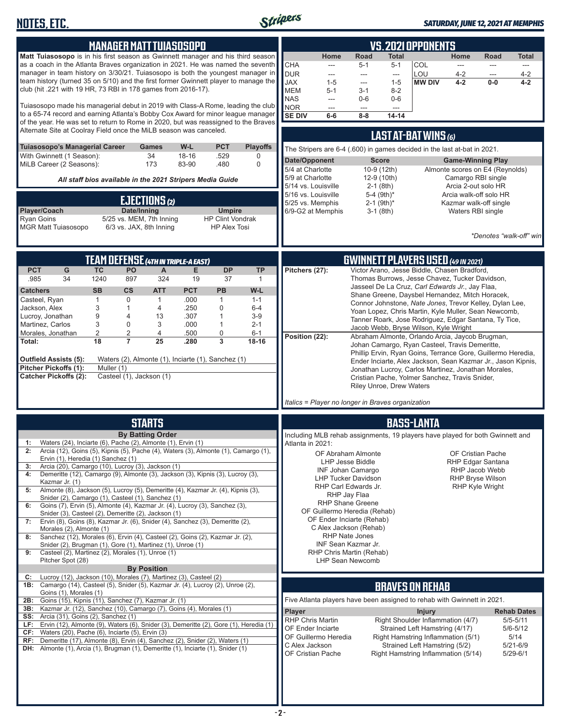

#### *SATURDAY, JUNE 12, 2021 AT MEMPHIS*

| <b>MANAGER MATT TUIASOSOPO</b>                                                                                                                                                                                                                                                                                                                                                                                                                                                                                                                                                                                                                                                                                                                                                                                                                                                                                                                                                                                                                                                                                                                                                                                                                                                                                                                                                                                                                                                                                                                                                                                                                                                                                                                                                                                                                                                                                                                                                                                                                                                                                                                                                                                                                                                                                                                                                                                                                                                                                                                                                                                                                                                                                                              | <b>VS. 2021 OPPONENTS</b>                                                                                                                                                                                                                                                                                                                                                                                                                                                                                                                                                                                                                                                                                                                                           |  |  |  |  |
|---------------------------------------------------------------------------------------------------------------------------------------------------------------------------------------------------------------------------------------------------------------------------------------------------------------------------------------------------------------------------------------------------------------------------------------------------------------------------------------------------------------------------------------------------------------------------------------------------------------------------------------------------------------------------------------------------------------------------------------------------------------------------------------------------------------------------------------------------------------------------------------------------------------------------------------------------------------------------------------------------------------------------------------------------------------------------------------------------------------------------------------------------------------------------------------------------------------------------------------------------------------------------------------------------------------------------------------------------------------------------------------------------------------------------------------------------------------------------------------------------------------------------------------------------------------------------------------------------------------------------------------------------------------------------------------------------------------------------------------------------------------------------------------------------------------------------------------------------------------------------------------------------------------------------------------------------------------------------------------------------------------------------------------------------------------------------------------------------------------------------------------------------------------------------------------------------------------------------------------------------------------------------------------------------------------------------------------------------------------------------------------------------------------------------------------------------------------------------------------------------------------------------------------------------------------------------------------------------------------------------------------------------------------------------------------------------------------------------------------------|---------------------------------------------------------------------------------------------------------------------------------------------------------------------------------------------------------------------------------------------------------------------------------------------------------------------------------------------------------------------------------------------------------------------------------------------------------------------------------------------------------------------------------------------------------------------------------------------------------------------------------------------------------------------------------------------------------------------------------------------------------------------|--|--|--|--|
| Matt Tuiasosopo is in his first season as Gwinnett manager and his third season<br>as a coach in the Atlanta Braves organization in 2021. He was named the seventh<br>manager in team history on 3/30/21. Tuiasosopo is both the youngest manager in<br>team history (turned 35 on 5/10) and the first former Gwinnett player to manage the<br>club (hit .221 with 19 HR, 73 RBI in 178 games from 2016-17).<br>Tuiasosopo made his managerial debut in 2019 with Class-A Rome, leading the club<br>to a 65-74 record and earning Atlanta's Bobby Cox Award for minor league manager<br>of the year. He was set to return to Rome in 2020, but was reassigned to the Braves                                                                                                                                                                                                                                                                                                                                                                                                                                                                                                                                                                                                                                                                                                                                                                                                                                                                                                                                                                                                                                                                                                                                                                                                                                                                                                                                                                                                                                                                                                                                                                                                                                                                                                                                                                                                                                                                                                                                                                                                                                                                 | Home<br>Road<br><b>Total</b><br>Home<br>Road<br><b>Total</b><br><b>CHA</b><br>COL<br>$5 - 1$<br>$5 - 1$<br>$\overline{a}$<br>$\overline{\phantom{a}}$<br>$\frac{1}{2}$<br>---<br>LOU<br><b>DUR</b><br>$4 - 2$<br>$4 - 2$<br>---<br>---<br>---<br>$\cdots$<br><b>XAL</b><br>$4 - 2$<br>$1 - 5$<br><b>MW DIV</b><br>$0-0$<br>$4 - 2$<br>$1 - 5$<br>---<br><b>MEM</b><br>$5 - 1$<br>$3 - 1$<br>$8 - 2$<br><b>NAS</b><br>$0-6$<br>$0-6$<br>---<br>NOR<br>$\overline{a}$<br>$\overline{a}$<br>---<br><b>SE DIV</b><br>$8 - 8$<br>$14 - 14$<br>$6-6$                                                                                                                                                                                                                      |  |  |  |  |
| Alternate Site at Coolray Field once the MiLB season was canceled.                                                                                                                                                                                                                                                                                                                                                                                                                                                                                                                                                                                                                                                                                                                                                                                                                                                                                                                                                                                                                                                                                                                                                                                                                                                                                                                                                                                                                                                                                                                                                                                                                                                                                                                                                                                                                                                                                                                                                                                                                                                                                                                                                                                                                                                                                                                                                                                                                                                                                                                                                                                                                                                                          | LAST AT-BAT WINS (6)                                                                                                                                                                                                                                                                                                                                                                                                                                                                                                                                                                                                                                                                                                                                                |  |  |  |  |
| <b>Playoffs</b><br>Tuiasosopo's Managerial Career<br>W-L<br><b>PCT</b><br>Games<br>34<br>With Gwinnett (1 Season):<br>$18 - 16$<br>.529<br>0                                                                                                                                                                                                                                                                                                                                                                                                                                                                                                                                                                                                                                                                                                                                                                                                                                                                                                                                                                                                                                                                                                                                                                                                                                                                                                                                                                                                                                                                                                                                                                                                                                                                                                                                                                                                                                                                                                                                                                                                                                                                                                                                                                                                                                                                                                                                                                                                                                                                                                                                                                                                | The Stripers are 6-4 (.600) in games decided in the last at-bat in 2021.                                                                                                                                                                                                                                                                                                                                                                                                                                                                                                                                                                                                                                                                                            |  |  |  |  |
| 173<br>MiLB Career (2 Seasons):<br>83-90<br>.480<br>$\Omega$                                                                                                                                                                                                                                                                                                                                                                                                                                                                                                                                                                                                                                                                                                                                                                                                                                                                                                                                                                                                                                                                                                                                                                                                                                                                                                                                                                                                                                                                                                                                                                                                                                                                                                                                                                                                                                                                                                                                                                                                                                                                                                                                                                                                                                                                                                                                                                                                                                                                                                                                                                                                                                                                                | Date/Opponent<br><b>Score</b><br><b>Game-Winning Play</b><br>5/4 at Charlotte<br>10-9 (12th)<br>Almonte scores on E4 (Reynolds)<br>5/9 at Charlotte                                                                                                                                                                                                                                                                                                                                                                                                                                                                                                                                                                                                                 |  |  |  |  |
| All staff bios available in the 2021 Stripers Media Guide                                                                                                                                                                                                                                                                                                                                                                                                                                                                                                                                                                                                                                                                                                                                                                                                                                                                                                                                                                                                                                                                                                                                                                                                                                                                                                                                                                                                                                                                                                                                                                                                                                                                                                                                                                                                                                                                                                                                                                                                                                                                                                                                                                                                                                                                                                                                                                                                                                                                                                                                                                                                                                                                                   | 12-9 (10th)<br>Camargo RBI single<br>5/14 vs. Louisville<br>$2-1$ (8th)<br>Arcia 2-out solo HR<br>5/16 vs. Louisville<br>5-4 (9th)*<br>Arcia walk-off solo HR                                                                                                                                                                                                                                                                                                                                                                                                                                                                                                                                                                                                       |  |  |  |  |
| EJECTIONS (2)<br>Player/Coach<br>Date/Inning<br><b>Umpire</b>                                                                                                                                                                                                                                                                                                                                                                                                                                                                                                                                                                                                                                                                                                                                                                                                                                                                                                                                                                                                                                                                                                                                                                                                                                                                                                                                                                                                                                                                                                                                                                                                                                                                                                                                                                                                                                                                                                                                                                                                                                                                                                                                                                                                                                                                                                                                                                                                                                                                                                                                                                                                                                                                               | 5/25 vs. Memphis<br>$2-1$ (9th)*<br>Kazmar walk-off single<br>6/9-G2 at Memphis<br>$3-1$ (8th)<br>Waters RBI single                                                                                                                                                                                                                                                                                                                                                                                                                                                                                                                                                                                                                                                 |  |  |  |  |
| <b>Ryan Goins</b><br>5/25 vs. MEM, 7th Inning<br><b>HP Clint Vondrak</b><br>6/3 vs. JAX, 8th Inning<br><b>MGR Matt Tuiasosopo</b><br><b>HP Alex Tosi</b>                                                                                                                                                                                                                                                                                                                                                                                                                                                                                                                                                                                                                                                                                                                                                                                                                                                                                                                                                                                                                                                                                                                                                                                                                                                                                                                                                                                                                                                                                                                                                                                                                                                                                                                                                                                                                                                                                                                                                                                                                                                                                                                                                                                                                                                                                                                                                                                                                                                                                                                                                                                    |                                                                                                                                                                                                                                                                                                                                                                                                                                                                                                                                                                                                                                                                                                                                                                     |  |  |  |  |
|                                                                                                                                                                                                                                                                                                                                                                                                                                                                                                                                                                                                                                                                                                                                                                                                                                                                                                                                                                                                                                                                                                                                                                                                                                                                                                                                                                                                                                                                                                                                                                                                                                                                                                                                                                                                                                                                                                                                                                                                                                                                                                                                                                                                                                                                                                                                                                                                                                                                                                                                                                                                                                                                                                                                             | *Denotes "walk-off" win                                                                                                                                                                                                                                                                                                                                                                                                                                                                                                                                                                                                                                                                                                                                             |  |  |  |  |
| <b>TEAM DEFENSE (4TH IN TRIPLE-A EAST)</b>                                                                                                                                                                                                                                                                                                                                                                                                                                                                                                                                                                                                                                                                                                                                                                                                                                                                                                                                                                                                                                                                                                                                                                                                                                                                                                                                                                                                                                                                                                                                                                                                                                                                                                                                                                                                                                                                                                                                                                                                                                                                                                                                                                                                                                                                                                                                                                                                                                                                                                                                                                                                                                                                                                  | <b>GWINNETT PLAYERS USED (49 IN 2021)</b>                                                                                                                                                                                                                                                                                                                                                                                                                                                                                                                                                                                                                                                                                                                           |  |  |  |  |
| <b>PCT</b><br>G<br><b>TC</b><br>PO<br>E<br><b>DP</b><br>Victor Arano, Jesse Biddle, Chasen Bradford,<br>$\mathsf{A}$<br><b>TP</b><br>Pitchers (27):<br>Thomas Burrows, Jesse Chavez, Tucker Davidson,<br>.985<br>34<br>1240<br>897<br>324<br>19<br>37<br>$\mathbf{1}$<br>Jasseel De La Cruz, Carl Edwards Jr., Jay Flaa,<br><b>SB</b><br>$\mathsf{cs}$<br><b>ATT</b><br><b>PCT</b><br><b>PB</b><br>W-L<br><b>Catchers</b><br>Shane Greene, Daysbel Hernandez, Mitch Horacek,<br>$\mathbf{1}$<br>$\mathbf 0$<br>.000<br>Casteel, Ryan<br>$\mathbf{1}$<br>$\mathbf{1}$<br>$1 - 1$<br>Connor Johnstone, Nate Jones, Trevor Kelley, Dylan Lee,<br>Jackson, Alex<br>3<br>.250<br>0<br>$\mathbf{1}$<br>$\overline{4}$<br>$6 - 4$<br>Yoan Lopez, Chris Martin, Kyle Muller, Sean Newcomb,<br>$\boldsymbol{9}$<br>Lucroy, Jonathan<br>$\overline{4}$<br>.307<br>$\mathbf{1}$<br>$3-9$<br>13<br>Tanner Roark, Jose Rodriguez, Edgar Santana, Ty Tice,<br>3<br>Martinez, Carlos<br>$\mathbf 0$<br>3<br>.000<br>$\mathbf{1}$<br>$2 - 1$<br>Jacob Webb, Bryse Wilson, Kyle Wright<br>2<br>$\overline{2}$<br>.500<br>0<br>Morales, Jonathan<br>4<br>$6 - 1$<br>Position (22):<br>Abraham Almonte, Orlando Arcia, Jaycob Brugman,<br>18<br>$\overline{7}$<br>3<br>25<br>.280<br>18-16<br>Total:<br>Johan Camargo, Ryan Casteel, Travis Demeritte,<br>Phillip Ervin, Ryan Goins, Terrance Gore, Guillermo Heredia,<br>Waters (2), Almonte (1), Inciarte (1), Sanchez (1)<br>Outfield Assists (5):<br>Ender Inciarte, Alex Jackson, Sean Kazmar Jr., Jason Kipnis,<br>Pitcher Pickoffs (1):<br>Muller (1)<br>Jonathan Lucroy, Carlos Martinez, Jonathan Morales,<br>Casteel (1), Jackson (1)<br><b>Catcher Pickoffs (2):</b><br>Cristian Pache, Yolmer Sanchez, Travis Snider,<br><b>Riley Unroe, Drew Waters</b><br>Italics = Player no longer in Braves organization<br><b>STARTS</b><br><b>BASS-LANTA</b><br><b>By Batting Order</b><br>Including MLB rehab assignments, 19 players have played for both Gwinnett and<br>Waters (24), Inciarte (6), Pache (2), Almonte (1), Ervin (1)<br>Atlanta in 2021:<br>Arcia (12), Goins (5), Kipnis (5), Pache (4), Waters (3), Almonte (1), Camargo (1),<br>2:<br>OF Abraham Almonte<br>OF Cristian Pache<br>Ervin (1), Heredia (1) Sanchez (1)<br>LHP Jesse Biddle<br>RHP Edgar Santana<br>Arcia (20), Camargo (10), Lucroy (3), Jackson (1)<br>3:<br><b>INF Johan Camargo</b><br>RHP Jacob Webb<br>Demeritte (12), Camargo (9), Almonte (3), Jackson (3), Kipnis (3), Lucroy (3),<br>4:<br><b>LHP Tucker Davidson</b><br><b>RHP Bryse Wilson</b><br>Kazmar Jr. (1)<br>RHP Carl Edwards Jr.<br><b>RHP Kyle Wright</b><br>Almonte (8), Jackson (5), Lucroy (5), Demeritte (4), Kazmar Jr. (4), Kipnis (3),<br>5: |                                                                                                                                                                                                                                                                                                                                                                                                                                                                                                                                                                                                                                                                                                                                                                     |  |  |  |  |
| Snider (2), Camargo (1), Casteel (1), Sanchez (1)<br>Goins (7), Ervin (5), Almonte (4), Kazmar Jr. (4), Lucroy (3), Sanchez (3),<br>6:<br>Snider (3), Casteel (2), Demeritte (2), Jackson (1)<br>Ervin (8), Goins (8), Kazmar Jr. (6), Snider (4), Sanchez (3), Demeritte (2),<br>7:<br>Morales (2), Almonte (1)<br>Sanchez (12), Morales (6), Ervin (4), Casteel (2), Goins (2), Kazmar Jr. (2),<br>8:<br>Snider (2), Brugman (1), Gore (1), Martinez (1), Unroe (1)<br>Casteel (2), Martinez (2), Morales (1), Unroe (1)<br>9:<br>Pitcher Spot (28)<br><b>By Position</b><br>Lucroy (12), Jackson (10), Morales (7), Martinez (3), Casteel (2)<br>C:<br>1B: Camargo (14), Casteel (5), Snider (5), Kazmar Jr. (4), Lucroy (2), Unroe (2),<br>Goins (1), Morales (1)<br>Goins (15), Kipnis (11), Sanchez (7), Kazmar Jr. (1)<br>2B:<br>3B: Kazmar Jr. (12), Sanchez (10), Camargo (7), Goins (4), Morales (1)<br><b>SS:</b> Arcia (31), Goins (2), Sanchez (1)<br>Ervin (12), Almonte (9), Waters (6), Snider (3), Demeritte (2), Gore (1), Heredia (1)<br>LF:<br>CF:<br>Waters (20), Pache (6), Inciarte (5), Ervin (3)<br>Demeritte (17), Almonte (8), Ervin (4), Sanchez (2), Snider (2), Waters (1)<br>RF:<br>DH: Almonte (1), Arcia (1), Brugman (1), Demeritte (1), Inciarte (1), Snider (1)                                                                                                                                                                                                                                                                                                                                                                                                                                                                                                                                                                                                                                                                                                                                                                                                                                                                                                                                                                                                                                                                                                                                                                                                                                                                                                                                                                                                                                         | RHP Jay Flaa<br><b>RHP Shane Greene</b><br>OF Guillermo Heredia (Rehab)<br>OF Ender Inciarte (Rehab)<br>C Alex Jackson (Rehab)<br><b>RHP Nate Jones</b><br>INF Sean Kazmar Jr.<br>RHP Chris Martin (Rehab)<br><b>LHP Sean Newcomb</b><br><b>BRAVES ON REHAB</b><br>Five Atlanta players have been assigned to rehab with Gwinnett in 2021.<br>Player<br><b>Rehab Dates</b><br><b>Injury</b><br>Right Shoulder Inflammation (4/7)<br><b>RHP Chris Martin</b><br>$5/5 - 5/11$<br>Strained Left Hamstring (4/17)<br>OF Ender Inciarte<br>$5/6 - 5/12$<br>OF Guillermo Heredia<br>Right Hamstring Inflammation (5/1)<br>5/14<br>C Alex Jackson<br>Strained Left Hamstring (5/2)<br>5/21-6/9<br>OF Cristian Pache<br>Right Hamstring Inflammation (5/14)<br>$5/29 - 6/1$ |  |  |  |  |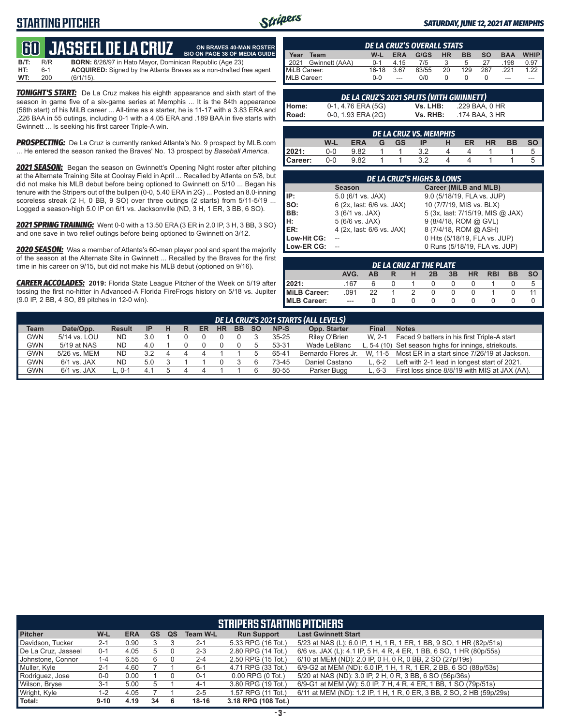# **STARTING PITCHER**



**ON BRAVES 40-MAN ROSTER**

#### *SATURDAY, JUNE 12, 2021 AT MEMPHIS*

# **600 JASSEEL DE L**

**B/T:** R/R **BORN:** 6/26/97 in Hato Mayor, Dominican Republic (Age 23)<br>**HT:** 6-1 **ACQUIRED:** Signed by the Atlanta Braves as a non-drafted f **HT:** 6-1 **ACQUIRED:** Signed by the Atlanta Braves as a non-drafted free agent **WT:** 200 (6/1/15). **BIO ON PAGE 38 OF MEDIA GUIDE**

*TONIGHT'S START:* De La Cruz makes his eighth appearance and sixth start of the season in game five of a six-game series at Memphis ... It is the 84th appearance (56th start) of his MiLB career ... All-time as a starter, he is 11-17 with a 3.83 ERA and .226 BAA in 55 outings, including 0-1 with a 4.05 ERA and .189 BAA in five starts with Gwinnett ... Is seeking his first career Triple-A win.

**PROSPECTING:** De La Cruz is currently ranked Atlanta's No. 9 prospect by MLB.com ... He entered the season ranked the Braves' No. 13 prospect by *Baseball America*.

*2021 SEASON:* Began the season on Gwinnett's Opening Night roster after pitching at the Alternate Training Site at Coolray Field in April ... Recalled by Atlanta on 5/8, but did not make his MLB debut before being optioned to Gwinnett on 5/10 ... Began his tenure with the Stripers out of the bullpen (0-0, 5.40 ERA in 2G) ... Posted an 8.0-inning scoreless streak (2 H, 0 BB, 9 SO) over three outings (2 starts) from 5/11-5/19 ... Logged a season-high 5.0 IP on 6/1 vs. Jacksonville (ND, 3 H, 1 ER, 3 BB, 6 SO).

*2021 SPRING TRAINING:* Went 0-0 with a 13.50 ERA (3 ER in 2.0 IP, 3 H, 3 BB, 3 SO) and one save in two relief outings before being optioned to Gwinnett on 3/12.

*2020 SEASON:* Was a member of Atlanta's 60-man player pool and spent the majority of the season at the Alternate Site in Gwinnett ... Recalled by the Braves for the first time in his career on 9/15, but did not make his MLB debut (optioned on 9/16).

*CAREER ACCOLADES:* **2019:** Florida State League Pitcher of the Week on 5/19 after tossing the first no-hitter in Advanced-A Florida FireFrogs history on 5/18 vs. Jupiter (9.0 IP, 2 BB, 4 SO, 89 pitches in 12-0 win).

| <b>DE LA CRUZ'S OVERALL STATS</b> |                |         |            |       |           |           |           |            |             |
|-----------------------------------|----------------|---------|------------|-------|-----------|-----------|-----------|------------|-------------|
| Year                              | Team           | W-L     | <b>ERA</b> | G/GS  | <b>HR</b> | <b>BB</b> | <b>SO</b> | <b>BAA</b> | <b>WHIP</b> |
| $\blacksquare$ 2021               | Gwinnett (AAA) | $0 - 1$ | 4 15       | 7/5   |           | 5         | 27        | 198        | 0.97        |
| MiLB Career:                      |                | $16-18$ | 3.67       | 83/55 | 20        | 129       | 287       | 221        | 1.22        |
| MLB Career:                       |                | $0 - 0$ | $---$      | 0/0   |           |           |           | ---        | ---         |

|       | DE LA CRUZ'S 2021 SPLITS (WITH GWINNETT) |          |                |
|-------|------------------------------------------|----------|----------------|
| Home: | 0-1, 4.76 ERA (5G)                       | Vs. LHB: | .229 BAA. 0 HR |
| Road: | 0-0, 1.93 ERA (2G)                       | Vs. RHB: | .174 BAA. 3 HR |

| <b>DE LA CRUZ VS. MEMPHIS</b> |     |            |   |           |     |   |    |           |           |   |  |  |
|-------------------------------|-----|------------|---|-----------|-----|---|----|-----------|-----------|---|--|--|
|                               | W-L | <b>ERA</b> | G | <b>GS</b> | IP  | н | ER | <b>HR</b> | <b>BB</b> |   |  |  |
| 2021:                         | 0-0 | 9.82       |   |           |     |   |    |           |           | C |  |  |
| Career:                       | 0-0 | 9.82       |   |           | າ າ |   |    |           |           | G |  |  |

| <b>DE LA CRUZ'S HIGHS &amp; LOWS</b> |                           |                                  |  |  |  |  |  |  |  |  |
|--------------------------------------|---------------------------|----------------------------------|--|--|--|--|--|--|--|--|
|                                      | <b>Season</b>             | Career (MiLB and MLB)            |  |  |  |  |  |  |  |  |
| IP:                                  | $5.0$ (6/1 vs. JAX)       | 9.0 (5/18/19, FLA vs. JUP)       |  |  |  |  |  |  |  |  |
| Iso:                                 | 6 (2x, last: 6/6 vs. JAX) | 10 (7/7/19, MIS vs. BLX)         |  |  |  |  |  |  |  |  |
| BB:                                  | 3 (6/1 vs. JAX)           | 5 (3x, last: 7/15/19, MIS @ JAX) |  |  |  |  |  |  |  |  |
| IH:                                  | 5 (6/6 vs. JAX)           | 9 (8/4/18, ROM @ GVL)            |  |  |  |  |  |  |  |  |
| <b>IER:</b>                          | 4 (2x, last: 6/6 vs. JAX) | 8 (7/4/18, ROM @ ASH)            |  |  |  |  |  |  |  |  |
| Low-Hit CG:                          |                           | 0 Hits (5/18/19, FLA vs. JUP)    |  |  |  |  |  |  |  |  |
| Low-ER CG:                           |                           | 0 Runs (5/18/19, FLA vs. JUP)    |  |  |  |  |  |  |  |  |

| DE LA CRUZ AT THE PLATE |      |    |  |               |          |    |           |            |           |           |  |
|-------------------------|------|----|--|---------------|----------|----|-----------|------------|-----------|-----------|--|
|                         | AVG. | AВ |  | н             | 2B       | 3B | <b>HR</b> | <b>RBI</b> | <b>BB</b> | <b>SO</b> |  |
| 2021:                   | .167 |    |  |               |          |    |           |            |           | 5         |  |
| MiLB Career:            | .091 | 22 |  | $\mathcal{P}$ | $\Omega$ |    |           |            |           |           |  |
| MLB Career:             | $-$  |    |  |               |          |    |           |            |           |           |  |

|             | DE LA CRUZ'S 2021 STARTS (ALL LEVELS) |               |           |   |  |    |           |           |     |           |                     |              |                                                       |
|-------------|---------------------------------------|---------------|-----------|---|--|----|-----------|-----------|-----|-----------|---------------------|--------------|-------------------------------------------------------|
| <b>Team</b> | Date/Opp.                             | <b>Result</b> | <b>IP</b> | н |  | ER | <b>HR</b> | <b>BB</b> | -SO | NP-S      | Opp. Starter        | <b>Final</b> | <b>Notes</b>                                          |
| <b>GWN</b>  | 5/14 vs. LOU                          | <b>ND</b>     | 3.0       |   |  |    |           |           |     | $35 - 25$ | Riley O'Brien       | W. 2-1       | Faced 9 batters in his first Triple-A start           |
| <b>GWN</b>  | 5/19 at NAS                           | <b>ND</b>     | 4.0       |   |  |    |           |           |     | 53-31     | Wade LeBlanc        |              | L, 5-4 (10) Set season highs for innings, striekouts. |
| <b>GWN</b>  | 5/26 vs. MEM                          | <b>ND</b>     | 32        |   |  |    |           |           |     | 65-41     | Bernardo Flores Jr. |              | W, 11-5 Most ER in a start since 7/26/19 at Jackson.  |
| GWN         | $6/1$ vs. JAX                         | ND            | 5.0       |   |  |    |           |           |     | 73-45     | Daniel Castano      | L. 6-2       | Left with 2-1 lead in longest start of 2021.          |
| GWN         | $6/1$ vs. JAX                         | $L.0-1$       |           |   |  |    |           |           |     | 80-55     | Parker Bugg         | L. 6-3       | First loss since 8/8/19 with MIS at JAX (AA).         |
|             |                                       |               |           |   |  |    |           |           |     |           |                     |              |                                                       |

|                     | <b>STRIPERS STARTING PITCHERS</b> |            |           |    |                 |                       |                                                                      |  |  |  |  |  |  |
|---------------------|-----------------------------------|------------|-----------|----|-----------------|-----------------------|----------------------------------------------------------------------|--|--|--|--|--|--|
| <b>Pitcher</b>      | W-L                               | <b>ERA</b> | <b>GS</b> | QS | <b>Team W-L</b> | <b>Run Support</b>    | <b>Last Gwinnett Start</b>                                           |  |  |  |  |  |  |
| Davidson, Tucker    | $2 - 1$                           | 0.90       |           |    | $2 - 1$         | 5.33 RPG (16 Tot.)    | 5/23 at NAS (L): 6.0 IP, 1 H, 1 R, 1 ER, 1 BB, 9 SO, 1 HR (82p/51s)  |  |  |  |  |  |  |
| De La Cruz, Jasseel | $0 - 1$                           | 4.05       | 5         |    | $2 - 3$         | 2.80 RPG (14 Tot.)    | 6/6 vs. JAX (L): 4.1 IP, 5 H, 4 R, 4 ER, 1 BB, 6 SO, 1 HR (80p/55s)  |  |  |  |  |  |  |
| Johnstone, Connor   | 1-4                               | 6.55       | 6         |    | $2 - 4$         | 2.50 RPG (15 Tot.)    | 6/10 at MEM (ND): 2.0 IP, 0 H, 0 R, 0 BB, 2 SO (27p/19s)             |  |  |  |  |  |  |
| Muller, Kyle        | $2 - 1$                           | 4.60       |           |    | $6 - 1$         | 4.71 RPG (33 Tot.)    | 6/9-G2 at MEM (ND): 6.0 IP, 1 H, 1 R, 1 ER, 2 BB, 6 SO (88p/53s)     |  |  |  |  |  |  |
| Rodriguez, Jose     | $0 - 0$                           | 0.00       |           |    | $0 - 1$         | $0.00$ RPG $(0$ Tot.) | 5/20 at NAS (ND): 3.0 IP, 2 H, 0 R, 3 BB, 6 SO (56p/36s)             |  |  |  |  |  |  |
| Wilson, Bryse       | $3 - 1$                           | 5.00       |           |    | $4 - 1$         | 3.80 RPG (19 Tot.)    | 6/9-G1 at MEM (W): 5.0 IP, 7 H, 4 R, 4 ER, 1 BB, 1 SO (79p/51s)      |  |  |  |  |  |  |
| Wright, Kyle        | $1 - 2$                           | 4.05       |           |    | $2 - 5$         | 1.57 RPG (11 Tot.)    | 6/11 at MEM (ND): 1.2 IP, 1 H, 1 R, 0 ER, 3 BB, 2 SO, 2 HB (59p/29s) |  |  |  |  |  |  |
| Total:              | $9 - 10$                          | 4.19       | 34        | 6  | 18-16           | 3.18 RPG (108 Tot.)   |                                                                      |  |  |  |  |  |  |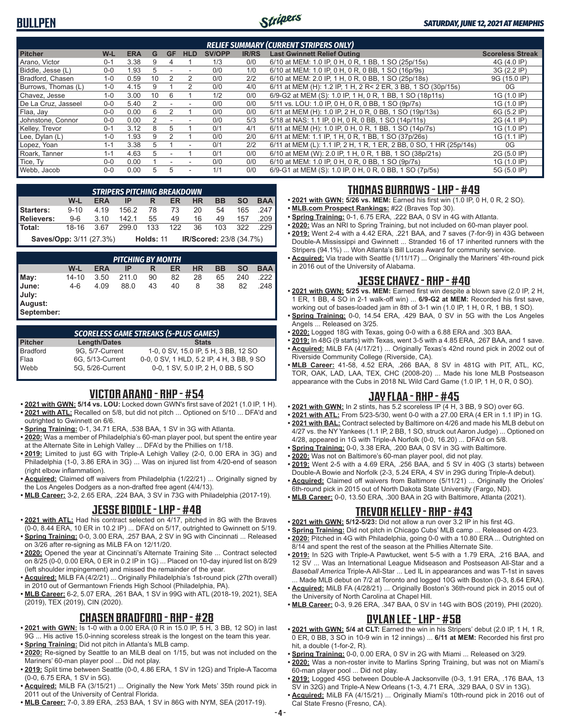# **BULLPEN**



#### *SATURDAY, JUNE 12, 2021 AT MEMPHIS*

| <b>RELIEF SUMMARY (CURRENT STRIPERS ONLY)</b> |         |            |    |           |                          |               |              |                                                                     |                         |  |  |
|-----------------------------------------------|---------|------------|----|-----------|--------------------------|---------------|--------------|---------------------------------------------------------------------|-------------------------|--|--|
| <b>Pitcher</b>                                | W-L     | <b>ERA</b> | G  | <b>GF</b> | <b>HLD</b>               | <b>SV/OPP</b> | <b>IR/RS</b> | <b>Last Gwinnett Relief Outing</b>                                  | <b>Scoreless Streak</b> |  |  |
| Arano, Victor                                 | $0 - 1$ | 3.38       | 9  | 4         |                          | 1/3           | 0/0          | 6/10 at MEM: 1.0 IP, 0 H, 0 R, 1 BB, 1 SO (25p/15s)                 | 4G (4.0 IP)             |  |  |
| Biddle, Jesse (L)                             | $0 - 0$ | 1.93       | 5  |           |                          | 0/0           | 1/0          | 6/10 at MEM: 1.0 IP, 0 H, 0 R, 0 BB, 1 SO (16p/9s)                  | 3G (2.2 IP)             |  |  |
| Bradford, Chasen                              | $1 - 0$ | 0.59       | 10 |           | 2                        | 0/0           | 2/2          | 6/10 at MEM: 2.0 IP, 1 H, 0 R, 0 BB, 1 SO (25p/18s)                 | 9G (15.0 IP)            |  |  |
| Burrows, Thomas (L)                           | $1 - 0$ | 4.15       | 9  |           | $\mathcal{P}$            | 0/0           | 4/0          | 6/11 at MEM (H): 1.2 IP, 1 H, 2 R< 2 ER, 3 BB, 1 SO (30p/15s)       | 0G                      |  |  |
| Chavez, Jesse                                 | $1 - 0$ | 3.00       | 10 | 6         |                          | 1/2           | 0/0          | 6/9-G2 at MEM (S): 1.0 IP, 1 H, 0 R, 1 BB, 1 SO (18p11s)            | 1G (1.0 IP)             |  |  |
| De La Cruz. Jasseel                           | $0 - 0$ | 5.40       | 2  |           |                          | 0/0           | 0/0          | 5/11 vs. LOU: 1.0 IP, 0 H, 0 R, 0 BB, 1 SO (9p/7s)                  | 1G (1.0 IP)             |  |  |
| Flaa, Jay                                     | $0 - 0$ | 0.00       | 6  |           |                          | 0/0           | 0/0          | 6/11 at MEM (H): 1.0 IP, 2 H, 0 R, 0 BB, 1 SO (19p/13s)             | 6G (5.2 IP)             |  |  |
| Johnstone, Connor                             | $0 - 0$ | 0.00       |    |           |                          | 0/0           | 5/3          | 5/18 at NAS: 1.1 IP, 0 H, 0 R, 0 BB, 1 SO (14p/11s)                 | 2G (4.1 IP)             |  |  |
| Kelley, Trevor                                | $0 - 1$ | 3.12       | 8  | 5         |                          | 0/1           | 4/1          | 6/11 at MEM (H): 1.0 IP, 0 H, 0 R, 1 BB, 1 SO (14p/7s)              | 1G (1.0 IP)             |  |  |
| Lee, Dylan (L)                                | $1 - 0$ | 1.93       | 9  |           |                          | 0/0           | 2/0          | 6/11 at MEM: 1.1 IP, 1 H, 0 R, 1 BB, 1 SO (37p/26s)                 | 1G (1.1 IP)             |  |  |
| Lopez, Yoan                                   | $1 - 1$ | 3.38       | 5  |           | $\overline{\phantom{a}}$ | 0/1           | 2/2          | 6/11 at MEM (L): 1.1 IP, 2 H, 1 R, 1 ER, 2 BB, 0 SO, 1 HR (25p/14s) | 0G                      |  |  |
| Roark, Tanner                                 | $1 - 1$ | 4.63       | 5  |           |                          | 0/1           | 0/0          | 6/10 at MEM (W): 2.0 IP, 1 H, 0 R, 1 BB, 1 SO (38p/21s)             | 2G (5.0 IP)             |  |  |
| Tice, Ty                                      | $0-0$   | 0.00       |    |           |                          | 0/0           | 0/0          | 6/10 at MEM: 1.0 IP, 0 H, 0 R, 0 BB, 1 SO (9p/7s)                   | 1G (1.0 IP)             |  |  |
| Webb, Jacob                                   | $0 - 0$ | 0.00       | 5  |           | ۰                        | 1/1           | 0/0          | 6/9-G1 at MEM (S): 1.0 IP, 0 H, 0 R, 0 BB, 1 SO (7p/5s)             | 5G (5.0 IP)             |  |  |

|                                | <b>STRIPERS PITCHING BREAKDOWN</b> |            |                               |                  |  |                         |           |           |            |  |  |  |  |
|--------------------------------|------------------------------------|------------|-------------------------------|------------------|--|-------------------------|-----------|-----------|------------|--|--|--|--|
|                                | W-L                                | <b>ERA</b> |                               | IP R ER          |  | <b>HR</b>               | <b>BB</b> | <b>SO</b> | <b>BAA</b> |  |  |  |  |
| <b>Starters:</b>               | 9-10 4.19                          |            | 156.2 78 73 20                |                  |  |                         | 54        |           | 165 .247   |  |  |  |  |
| <b>Relievers:</b>              | 9-6 3.10 142.1 55 49 16 49 157 209 |            |                               |                  |  |                         |           |           |            |  |  |  |  |
| Total:                         | 18-16 3.67                         |            | 299.0 133 122 36 103 322 .229 |                  |  |                         |           |           |            |  |  |  |  |
| <b>Saves/Opp:</b> 3/11 (27.3%) |                                    |            |                               | <b>Holds: 11</b> |  | IR/Scored: 23/8 (34.7%) |           |           |            |  |  |  |  |

| <b>PITCHING BY MONTH</b>                |       |            |       |    |    |           |    |           |            |  |
|-----------------------------------------|-------|------------|-------|----|----|-----------|----|-----------|------------|--|
|                                         | W-L   | <b>ERA</b> | ΙP    | R  | ER | <b>HR</b> | BB | <b>SO</b> | <b>BAA</b> |  |
| May:                                    | 14-10 | 3.50       | 211.0 | 90 | 82 | 28        | 65 | 240       | .222       |  |
| June:<br>July:<br>August:<br>September: | 4-6   | 4.09       | 88.0  | 43 | 40 | 8         | 38 | 82        | .248       |  |

*SCORELESS GAME STREAKS (5-PLUS GAMES)* **Pitcher Length/Dates Stats** Bradford 9G, 5/7-Current 1-0, 0 SV, 15.0 IP, 5 H, 3 BB, 12 SO Flaa 6G, 5/13-Current 0-0, 0 SV, 1 HLD, 5.2 IP, 4 H, 3 BB, 9 SO Webb 5G, 5/26-Current 0-0, 1 SV, 5.0 IP, 2 H, 0 BB, 5 SO

#### **VICTOR ARANO - RHP - #54**

- **• 2021 with GWN: 5/14 vs. LOU:** Locked down GWN's first save of 2021 (1.0 IP, 1 H). **• 2021 with ATL:** Recalled on 5/8, but did not pitch ... Optioned on 5/10 ... DFA'd and
- outrighted to Gwinnett on 6/6.
- **• Spring Training:** 0-1, 34.71 ERA, .538 BAA, 1 SV in 3G with Atlanta.
- **• 2020:** Was a member of Philadelphia's 60-man player pool, but spent the entire year at the Alternate Site in Lehigh Valley ... DFA'd by the Phillies on 1/18.
- **• 2019:** Limited to just 6G with Triple-A Lehigh Valley (2-0, 0.00 ERA in 3G) and Philadelphia (1-0, 3.86 ERA in 3G) ... Was on injured list from 4/20-end of season (right elbow inflammation).
- **• Acquired:** Claimed off waivers from Philadelphia (1/22/21) ... Originally signed by the Los Angeles Dodgers as a non-drafted free agent (4/4/13).
- **• MLB Career:** 3-2, 2.65 ERA, .224 BAA, 3 SV in 73G with Philadelphia (2017-19).

#### **JESSE BIDDLE - LHP - #48**

- **• 2021 with ATL:** Had his contract selected on 4/17, pitched in 8G with the Braves (0-0, 8.44 ERA, 10 ER in 10.2 IP) ... DFA'd on 5/17, outrighted to Gwinnett on 5/19.
- **• Spring Training:** 0-0, 3.00 ERA, .257 BAA, 2 SV in 9G with Cincinnati ... Released on 3/26 after re-signing as MiLB FA on 12/11/20.
- **• 2020:** Opened the year at Cincinnati's Alternate Training Site ... Contract selected on 8/25 (0-0, 0.00 ERA, 0 ER in 0.2 IP in 1G) ... Placed on 10-day injured list on 8/29 (left shoulder impingement) and missed the remainder of the year.
- **• Acquired:** MiLB FA (4/2/21) ... Originally Philadelphia's 1st-round pick (27th overall) in 2010 out of Germantown Friends High School (Philadelphia, PA).
- **• MLB Career:** 6-2, 5.07 ERA, .261 BAA, 1 SV in 99G with ATL (2018-19, 2021), SEA (2019), TEX (2019), CIN (2020).

#### **CHASEN BRADFORD - RHP - #28**

- **• 2021 with GWN:** Is 1-0 with a 0.00 ERA (0 R in 15.0 IP, 5 H, 3 BB, 12 SO) in last 9G ... His active 15.0-inning scoreless streak is the longest on the team this year.
- **• Spring Training:** Did not pitch in Atlanta's MLB camp.
- **• 2020:** Re-signed by Seattle to an MiLB deal on 1/15, but was not included on the Mariners' 60-man player pool ... Did not play.
- **• 2019:** Split time between Seattle (0-0, 4.86 ERA, 1 SV in 12G) and Triple-A Tacoma (0-0, 6.75 ERA, 1 SV in 5G).
- **• Acquired:** MiLB FA (3/15/21) ... Originally the New York Mets' 35th round pick in 2011 out of the University of Central Florida.
- **• MLB Career:** 7-0, 3.89 ERA, .253 BAA, 1 SV in 86G with NYM, SEA (2017-19).

#### **THOMAS BURROWS - LHP - #49**

- **• 2021 with GWN: 5/26 vs. MEM:** Earned his first win (1.0 IP, 0 H, 0 R, 2 SO).
- **• MLB.com Prospect Rankings:** #22 (Braves Top 30).
- **• Spring Training:** 0-1, 6.75 ERA, .222 BAA, 0 SV in 4G with Atlanta.
- **• 2020:** Was an NRI to Spring Training, but not included on 60-man player pool. **• 2019:** Went 2-4 with a 4.42 ERA, .221 BAA, and 7 saves (7-for-9) in 43G between Double-A Mississippi and Gwinnett ... Stranded 16 of 17 inherited runners with the Stripers (94.1%) ... Won Atlanta's Bill Lucas Award for community service.
- **• Acquired:** Via trade with Seattle (1/11/17) ... Originally the Mariners' 4th-round pick in 2016 out of the University of Alabama.

### **JESSE CHAVEZ - RHP - #40**

- **• 2021 with GWN: 5/25 vs. MEM:** Earned first win despite a blown save (2.0 IP, 2 H, 1 ER, 1 BB, 4 SO in 2-1 walk-off win) ... **6/9-G2 at MEM:** Recorded his first save, working out of bases-loaded jam in 8th of 3-1 win (1.0 IP, 1 H, 0 R, 1 BB, 1 SO).
- **• Spring Training:** 0-0, 14.54 ERA, .429 BAA, 0 SV in 5G with the Los Angeles Angels ... Released on 3/25.
- **• 2020:** Logged 18G with Texas, going 0-0 with a 6.88 ERA and .303 BAA.
- **• 2019:** In 48G (9 starts) with Texas, went 3-5 with a 4.85 ERA, .267 BAA, and 1 save. **• Acquired:** MiLB FA (4/17/21) ... Originally Texas's 42nd round pick in 2002 out of
- Riverside Community College (Riverside, CA). **• MLB Career:** 41-58, 4.52 ERA, .266 BAA, 8 SV in 481G with PIT, ATL, KC, TOR, OAK, LAD, LAA, TEX, CHC (2008-20) ... Made his lone MLB Postseason appearance with the Cubs in 2018 NL Wild Card Game (1.0 IP, 1 H, 0 R, 0 SO).

#### **JAY FLAA - RHP - #45**

- **• 2021 with GWN:** In 2 stints, has 5.2 scoreless IP (4 H, 3 BB, 9 SO) over 6G.
- **• 2021 with ATL:** From 5/23-5/30, went 0-0 with a 27.00 ERA (4 ER in 1.1 IP) in 1G.
- **• 2021 with BAL:** Contract selected by Baltimore on 4/26 and made his MLB debut on 4/27 vs. the NY Yankees (1.1 IP, 2 BB, 1 SO, struck out Aaron Judge) ... Optioned on 4/28, appeared in 1G with Triple-A Norfolk (0-0, 16.20) ... DFA'd on 5/8.
- **• Spring Training:** 0-0, 3.38 ERA, .200 BAA, 0 SV in 3G with Baltimore.
- **• 2020:** Was not on Baltimore's 60-man player pool, did not play.
- **• 2019:** Went 2-5 with a 4.69 ERA, .256 BAA, and 5 SV in 40G (3 starts) between Double-A Bowie and Norfolk (2-3, 5.24 ERA, 4 SV in 29G during Triple-A debut).
- **• Acquired:** Claimed off waivers from Baltimore (5/11/21) ... Originally the Orioles' 6th-round pick in 2015 out of North Dakota State University (Fargo, ND).
	- **• MLB Career:** 0-0, 13.50 ERA, .300 BAA in 2G with Baltimore, Atlanta (2021).

#### **TREVOR KELLEY - RHP - #43**

- **• 2021 with GWN: 5/12-5/23:** Did not allow a run over 3.2 IP in his first 4G.
- **• Spring Training:** Did not pitch in Chicago Cubs' MLB camp ... Released on 4/23.
- **• 2020:** Pitched in 4G with Philadelphia, going 0-0 with a 10.80 ERA ... Outrighted on 8/14 and spent the rest of the season at the Phillies Alternate Site.
- **• 2019:** In 52G with Triple-A Pawtucket, went 5-5 with a 1.79 ERA, .216 BAA, and 12 SV ... Was an International League Midseason and Postseason All-Star and a *Baseball America* Triple-A All-Star ... Led IL in appearances and was T-1st in saves ... Made MLB debut on 7/2 at Toronto and logged 10G with Boston (0-3, 8.64 ERA).
- **• Acquired:** MiLB FA (4/28/21) ... Originally Boston's 36th-round pick in 2015 out of the University of North Carolina at Chapel Hill.
- **• MLB Career:** 0-3, 9.26 ERA, .347 BAA, 0 SV in 14G with BOS (2019), PHI (2020).

#### **DYLAN LEE - LHP - #58**

- **• 2021 with GWN: 5/4 at CLT:** Earned the win in his Stripers' debut (2.0 IP, 1 H, 1 R, 0 ER, 0 BB, 3 SO in 10-9 win in 12 innings) ... **6/11 at MEM:** Recorded his first pro hit, a double (1-for-2, R).
- **• Spring Training:** 0-0, 0.00 ERA, 0 SV in 2G with Miami ... Released on 3/29.
- **• 2020:** Was a non-roster invite to Marlins Spring Training, but was not on Miami's 60-man player pool ... Did not play.
- **• 2019:** Logged 45G between Double-A Jacksonville (0-3, 1.91 ERA, .176 BAA, 13 SV in 32G) and Triple-A New Orleans (1-3, 4.71 ERA, .329 BAA, 0 SV in 13G).
- **• Acquired:** MiLB FA (4/15/21) ... Originally Miami's 10th-round pick in 2016 out of Cal State Fresno (Fresno, CA).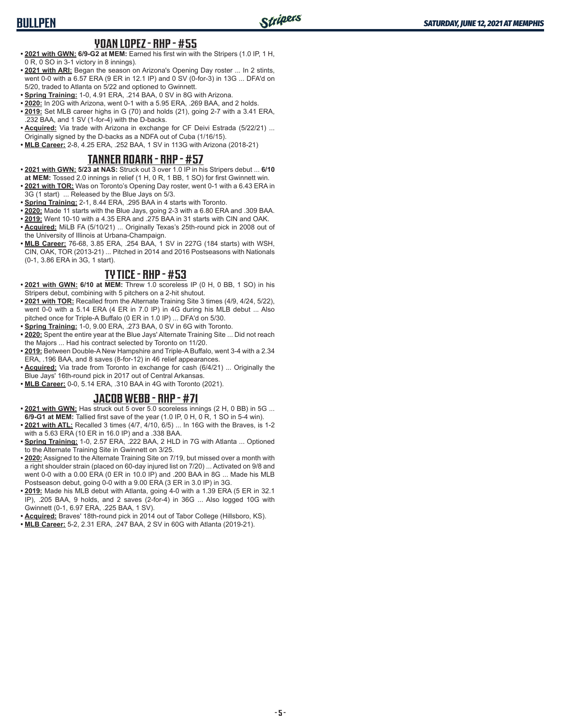#### **YOAN LOPEZ - RHP - #55**

- **• 2021 with GWN: 6/9-G2 at MEM:** Earned his first win with the Stripers (1.0 IP, 1 H, 0 R, 0 SO in 3-1 victory in 8 innings).
- **• 2021 with ARI:** Began the season on Arizona's Opening Day roster ... In 2 stints, went 0-0 with a 6.57 ERA (9 ER in 12.1 IP) and 0 SV (0-for-3) in 13G ... DFA'd on 5/20, traded to Atlanta on 5/22 and optioned to Gwinnett.
- **• Spring Training:** 1-0, 4.91 ERA, .214 BAA, 0 SV in 8G with Arizona.
- **• 2020:** In 20G with Arizona, went 0-1 with a 5.95 ERA, .269 BAA, and 2 holds.
- **• 2019:** Set MLB career highs in G (70) and holds (21), going 2-7 with a 3.41 ERA, .232 BAA, and 1 SV (1-for-4) with the D-backs.
- **• Acquired:** Via trade with Arizona in exchange for CF Deivi Estrada (5/22/21) ... Originally signed by the D-backs as a NDFA out of Cuba (1/16/15).
- **• MLB Career:** 2-8, 4.25 ERA, .252 BAA, 1 SV in 113G with Arizona (2018-21)

#### **TANNER ROARK - RHP - #57**

- **• 2021 with GWN: 5/23 at NAS:** Struck out 3 over 1.0 IP in his Stripers debut ... **6/10**
- **at MEM:** Tossed 2.0 innings in relief (1 H, 0 R, 1 BB, 1 SO) for first Gwinnett win. **• 2021 with TOR:** Was on Toronto's Opening Day roster, went 0-1 with a 6.43 ERA in
- 3G (1 start) ... Released by the Blue Jays on 5/3.
- **• Spring Training:** 2-1, 8.44 ERA, .295 BAA in 4 starts with Toronto.
- **• 2020:** Made 11 starts with the Blue Jays, going 2-3 with a 6.80 ERA and .309 BAA.
- **• 2019:** Went 10-10 with a 4.35 ERA and .275 BAA in 31 starts with CIN and OAK. **• Acquired:** MiLB FA (5/10/21) ... Originally Texas's 25th-round pick in 2008 out of the University of Illinois at Urbana-Champaign.
- **• MLB Career:** 76-68, 3.85 ERA, .254 BAA, 1 SV in 227G (184 starts) with WSH, CIN, OAK, TOR (2013-21) ... Pitched in 2014 and 2016 Postseasons with Nationals (0-1, 3.86 ERA in 3G, 1 start).

#### **TY TICE - RHP - #53**

- **• 2021 with GWN: 6/10 at MEM:** Threw 1.0 scoreless IP (0 H, 0 BB, 1 SO) in his Stripers debut, combining with 5 pitchers on a 2-hit shutout.
- **• 2021 with TOR:** Recalled from the Alternate Training Site 3 times (4/9, 4/24, 5/22), went 0-0 with a 5.14 ERA (4 ER in 7.0 IP) in 4G during his MLB debut ... Also pitched once for Triple-A Buffalo (0 ER in 1.0 IP) ... DFA'd on 5/30.
- **• Spring Training:** 1-0, 9.00 ERA, .273 BAA, 0 SV in 6G with Toronto.
- **• 2020:** Spent the entire year at the Blue Jays' Alternate Training Site ... Did not reach the Majors ... Had his contract selected by Toronto on 11/20.
- **• 2019:** Between Double-A New Hampshire and Triple-A Buffalo, went 3-4 with a 2.34 ERA, .196 BAA, and 8 saves (8-for-12) in 46 relief appearances.
- **• Acquired:** Via trade from Toronto in exchange for cash (6/4/21) ... Originally the Blue Jays' 16th-round pick in 2017 out of Central Arkansas.
- **• MLB Career:** 0-0, 5.14 ERA, .310 BAA in 4G with Toronto (2021).

#### **JACOB WEBB - RHP - #71**

- **• 2021 with GWN:** Has struck out 5 over 5.0 scoreless innings (2 H, 0 BB) in 5G ... **6/9-G1 at MEM:** Tallied first save of the year (1.0 IP, 0 H, 0 R, 1 SO in 5-4 win).
- **• 2021 with ATL:** Recalled 3 times (4/7, 4/10, 6/5) ... In 16G with the Braves, is 1-2 with a 5.63 ERA (10 ER in 16.0 IP) and a .338 BAA.
- **• Spring Training:** 1-0, 2.57 ERA, .222 BAA, 2 HLD in 7G with Atlanta ... Optioned to the Alternate Training Site in Gwinnett on 3/25.
- **• 2020:** Assigned to the Alternate Training Site on 7/19, but missed over a month with a right shoulder strain (placed on 60-day injured list on 7/20) ... Activated on 9/8 and went 0-0 with a 0.00 ERA (0 ER in 10.0 IP) and .200 BAA in 8G ... Made his MLB Postseason debut, going 0-0 with a 9.00 ERA (3 ER in 3.0 IP) in 3G.
- **• 2019:** Made his MLB debut with Atlanta, going 4-0 with a 1.39 ERA (5 ER in 32.1 IP), .205 BAA, 9 holds, and 2 saves (2-for-4) in 36G ... Also logged 10G with Gwinnett (0-1, 6.97 ERA, .225 BAA, 1 SV).
- **• Acquired:** Braves' 18th-round pick in 2014 out of Tabor College (Hillsboro, KS).
- **• MLB Career:** 5-2, 2.31 ERA, .247 BAA, 2 SV in 60G with Atlanta (2019-21).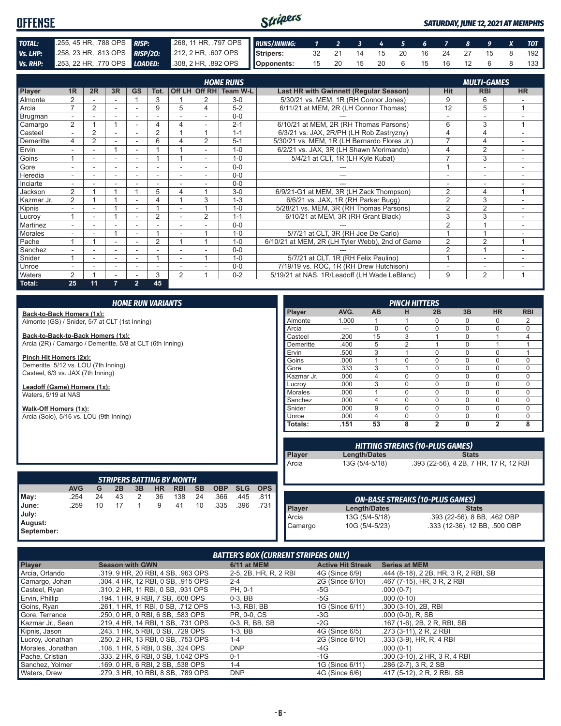#### Stripers **OFFENSE** *SATURDAY, JUNE 12, 2021 AT MEMPHIS TOTAL:* .255, 45 HR, .788 OPS *RISP:* .268, 11 HR, .797 OPS *RUNS/INNING: 1 2 3 4 5 6 7 8 9 X TOT Vs. LHP:* .258, 23 HR, .813 OPS **RISP/20:** .212, 2 HR, .607 OPS **Stripers:** 32 21 14 15 20 16 24 27 15 8 192 *Vs. RHP:* .253, 22 HR, .770 OPS *LOADED:* .308, 2 HR, .892 OPS **Opponents:** 15 20 15 20 6 15 16 12 6 8 133

|               |                |    |    |                |                          |                |                | <b>HOME RUNS</b>       |                                                 |                | <b>MULTI-GAMES</b>       |                |
|---------------|----------------|----|----|----------------|--------------------------|----------------|----------------|------------------------|-------------------------------------------------|----------------|--------------------------|----------------|
| <b>Player</b> | 1 <sub>R</sub> | 2R | 3R | <b>GS</b>      | Tot.                     |                |                | Off LH Off RH Team W-L | <b>Last HR with Gwinnett (Regular Season)</b>   | Hit            | <b>RBI</b>               | <b>HR</b>      |
| Almonte       | 2              |    |    |                | 3                        |                |                | $3-0$                  | 5/30/21 vs. MEM, 1R (RH Connor Jones)           | 9              | 6                        |                |
| Arcia         | $\overline{ }$ | 2  |    |                | 9                        | 5              | 4              | $5 - 2$                | 6/11/21 at MEM, 2R (LH Connor Thomas)           | 12             | 5                        |                |
| Brugman       |                |    |    |                |                          |                |                | $0 - 0$                |                                                 |                |                          |                |
| Camargo       | $\overline{2}$ |    |    |                | 4                        | 4              |                | $2 - 1$                | 6/10/21 at MEM, 2R (RH Thomas Parsons)          | 6              | 3                        | $\overline{ }$ |
| Casteel       | $\mathbf{r}$   | 2  | ۰  |                | 2                        |                |                | $1 - 1$                | 6/3/21 vs. JAX, 2R/PH (LH Rob Zastryzny)        |                | 4                        |                |
| Demeritte     | 4              | 2  |    |                | 6                        |                | $\overline{2}$ | $5 - 1$                | 5/30/21 vs. MEM, 1R (LH Bernardo Flores Jr.)    | $\overline{ }$ | 4                        |                |
| Ervin         | $\sim$         |    |    | ۰              |                          |                |                | $1 - 0$                | 6/2/21 vs. JAX, 3R (LH Shawn Morimando)         | 4              | $\overline{2}$           |                |
| Goins         |                |    | ۰  |                |                          |                |                | $1 - 0$                | 5/4/21 at CLT, 1R (LH Kyle Kubat)               |                | 3                        |                |
| Gore          |                |    | ۰  |                |                          |                |                | $0 - 0$                |                                                 |                | $\overline{\phantom{a}}$ |                |
| Heredia       | $\sim$         |    | ۰  | ۰              | ٠                        | ٠              |                | $0 - 0$                | ---                                             | ٠              | $\overline{\phantom{a}}$ |                |
| Inciarte      |                |    |    |                |                          |                |                | $0 - 0$                |                                                 |                |                          |                |
| Jackson       | 2              |    |    |                | 5                        | 4              | и              | $3-0$                  | 6/9/21-G1 at MEM, 3R (LH Zack Thompson)         | $\overline{2}$ | 4                        | $\overline{ }$ |
| Kazmar Jr.    | $\overline{2}$ |    |    |                | 4                        |                | 3              | $1 - 3$                | 6/6/21 vs. JAX, 1R (RH Parker Bugg)             | $\overline{2}$ | 3                        |                |
| Kipnis        |                |    |    |                |                          |                |                | $1 - 0$                | 5/28/21 vs. MEM, 3R (RH Thomas Parsons)         | $\overline{2}$ | $\overline{2}$           |                |
| Lucroy        |                |    |    |                | $\overline{2}$           |                | $\overline{2}$ | $1 - 1$                | 6/10/21 at MEM, 3R (RH Grant Black)             | 3              | 3                        |                |
| Martinez      |                |    |    |                |                          |                |                | $0 - 0$                |                                                 | $\overline{2}$ |                          |                |
| Morales       |                |    |    | ۰              |                          |                |                | $1 - 0$                | 5/7/21 at CLT, 3R (RH Joe De Carlo)             |                |                          |                |
| Pache         |                |    |    |                | $\overline{2}$           |                | и              | $1 - 0$                | 6/10/21 at MEM, 2R (LH Tyler Webb), 2nd of Game | $\overline{2}$ | $\overline{2}$           | 4              |
| Sanchez       |                |    | ٠  |                |                          |                |                | $0 - 0$                |                                                 | 2              | $\overline{A}$           |                |
| Snider        |                |    | ۰  | ۰              |                          | ٠              | и              | $1 - 0$                | 5/7/21 at CLT, 1R (RH Felix Paulino)            | $\overline{A}$ | $\overline{\phantom{a}}$ |                |
| Unroe         |                |    | ٠  | $\overline{a}$ | $\overline{\phantom{a}}$ |                |                | $0 - 0$                | 7/19/19 vs. ROC, 1R (RH Drew Hutchison)         |                | $\overline{\phantom{a}}$ |                |
| Waters        | 2              |    |    |                | 3                        | $\overline{2}$ | 4              | $0 - 2$                | 5/19/21 at NAS, 1R/Leadoff (LH Wade LeBlanc)    | 9              | $\overline{2}$           | 1              |
| Total:        | 25             | 11 | 7  | $\overline{2}$ | 45                       |                |                |                        |                                                 |                |                          |                |

|                                                           | <b>HOME RUN VARIANTS</b> |    |    |    |                                               |            |           |            |            |            |                | <b>PINCH HITTERS</b> |                     |                |                                        |              |                                        |                |  |
|-----------------------------------------------------------|--------------------------|----|----|----|-----------------------------------------------|------------|-----------|------------|------------|------------|----------------|----------------------|---------------------|----------------|----------------------------------------|--------------|----------------------------------------|----------------|--|
| Back-to-Back Homers (1x):                                 |                          |    |    |    |                                               |            |           |            |            |            | Player         | AVG.                 | <b>AB</b>           | н              | 2B                                     | 3B           | <b>HR</b>                              | <b>RBI</b>     |  |
| Almonte (GS) / Snider, 5/7 at CLT (1st Inning)            |                          |    |    |    |                                               |            |           |            |            |            | Almonte        | 1.000                |                     |                | $\Omega$                               | 0            | 0                                      | 2              |  |
|                                                           |                          |    |    |    |                                               |            |           |            |            |            | Arcia          | $---$                | $\Omega$            | $\Omega$       | $\Omega$                               | $\Omega$     | $\Omega$                               | $\Omega$       |  |
| Back-to-Back-to-Back Homers (1x):                         |                          |    |    |    |                                               |            |           |            |            |            | Casteel        | .200                 | 15                  | 3              |                                        | 0            |                                        | $\overline{4}$ |  |
| Arcia (2R) / Camargo / Demeritte, 5/8 at CLT (6th Inning) |                          |    |    |    |                                               |            |           |            |            |            | Demeritte      | .400                 | 5                   | $\overline{2}$ |                                        | $\Omega$     |                                        |                |  |
| Pinch Hit Homers (2x):                                    |                          |    |    |    |                                               |            |           |            |            |            | Ervin          | .500                 | 3                   |                | $\Omega$                               | $\Omega$     | $\Omega$                               | $\overline{1}$ |  |
| Demeritte, 5/12 vs. LOU (7th Inning)                      |                          |    |    |    |                                               |            |           |            |            |            | Goins          | .000                 | 1                   | $\Omega$       | $\Omega$                               | $\Omega$     | $\Omega$                               | $\mathbf 0$    |  |
| Casteel, 6/3 vs. JAX (7th Inning)                         |                          |    |    |    |                                               |            |           |            |            |            | Gore           | .333                 | 3                   |                | $\Omega$                               | $\Omega$     | $\Omega$                               | $\Omega$       |  |
|                                                           |                          |    |    |    |                                               |            |           |            |            |            | Kazmar Jr.     | .000                 | 4                   | $\Omega$       | $\Omega$                               | 0            | $\Omega$                               | $\mathbf 0$    |  |
| Leadoff (Game) Homers (1x):                               |                          |    |    |    |                                               |            |           |            |            |            | Lucrov         | .000                 | 3                   | $\Omega$       | $\Omega$                               | $\Omega$     | $\Omega$                               | $\Omega$       |  |
| Waters, 5/19 at NAS                                       |                          |    |    |    |                                               |            |           |            |            |            | <b>Morales</b> | .000                 | $\overline{1}$      | $\Omega$       | $\Omega$                               | $\Omega$     | $\Omega$                               | $\mathbf 0$    |  |
|                                                           |                          |    |    |    |                                               |            |           |            |            |            | Sanchez        | .000                 | 4                   | $\Omega$       | $\Omega$                               | $\Omega$     | $\Omega$                               | $\mathbf 0$    |  |
| Walk-Off Homers (1x):                                     |                          |    |    |    |                                               |            |           |            |            |            | Snider         | .000                 | 9                   | $\Omega$       | $\Omega$                               | 0            | $\mathbf 0$                            | $\mathbf 0$    |  |
| Arcia (Solo), 5/16 vs. LOU (9th Inning)                   |                          |    |    |    |                                               |            |           |            |            |            | Unroe          | .000                 | 4                   | $\Omega$       | $\mathbf 0$                            | 0            | 0                                      | $\mathbf 0$    |  |
|                                                           |                          |    |    |    |                                               |            |           |            |            |            | Totals:        | .151                 | 53                  | 8              | $\overline{2}$                         | 0            | $\overline{2}$                         | 8              |  |
|                                                           |                          |    |    |    |                                               |            |           |            |            |            |                |                      |                     |                |                                        |              |                                        |                |  |
|                                                           |                          |    |    |    |                                               |            |           |            |            |            |                |                      |                     |                | <b>HITTING STREAKS (10-PLUS GAMES)</b> |              |                                        |                |  |
|                                                           |                          |    |    |    |                                               |            |           |            |            |            | Player         |                      | <b>Length/Dates</b> |                |                                        | <b>Stats</b> |                                        |                |  |
|                                                           |                          |    |    |    |                                               |            |           |            |            |            | Arcia          |                      | 13G (5/4-5/18)      |                |                                        |              | .393 (22-56), 4 2B, 7 HR, 17 R, 12 RBI |                |  |
|                                                           |                          |    |    |    |                                               |            |           |            |            |            |                |                      |                     |                |                                        |              |                                        |                |  |
|                                                           | <b>AVG</b>               | G  | 2B | 3B | <b>STRIPERS BATTING BY MONTH</b><br><b>HR</b> | <b>RBI</b> | <b>SB</b> | <b>OBP</b> | <b>SLG</b> | <b>OPS</b> |                |                      |                     |                |                                        |              |                                        |                |  |
|                                                           | .254                     | 24 | 43 | 2  | 36                                            | 138        | 24        | .366       | .445       | .811       |                |                      |                     |                |                                        |              |                                        |                |  |
| May:                                                      |                          |    |    |    |                                               |            |           |            |            |            |                |                      |                     |                | <b>ON-BASE STREAKS (10-PLUS GAMES)</b> |              |                                        |                |  |
| June:                                                     | .259                     | 10 | 17 | 1  | 9                                             | 41         | 10        | .335       | .396       | .731       | Player         |                      | <b>Length/Dates</b> |                |                                        | <b>Stats</b> |                                        |                |  |
| July:                                                     |                          |    |    |    |                                               |            |           |            |            |            | Arcia          |                      | 13G (5/4-5/18)      |                |                                        |              | .393 (22-56), 8 BB, .462 OBP           |                |  |
| August:<br>September:                                     |                          |    |    |    |                                               |            |           |            |            |            | Camargo        |                      | 10G (5/4-5/23)      |                |                                        |              | .333 (12-36), 12 BB, .500 OBP          |                |  |
|                                                           |                          |    |    |    |                                               |            |           |            |            |            |                |                      |                     |                |                                        |              |                                        |                |  |

#### *BATTER'S BOX (CURRENT STRIPERS ONLY)*

| Player            | <b>Season with GWN</b>             | <b>6/11 at MEM</b>    | <b>Active Hit Streak</b> | <b>Series at MEM</b>                  |
|-------------------|------------------------------------|-----------------------|--------------------------|---------------------------------------|
| Arcia, Orlando    | .319, 9 HR, 20 RBI, 4 SB, .963 OPS | 2-5, 2B, HR, R, 2 RBI | 4G (Since 6/9)           | .444 (8-18), 2 2B, HR, 3 R, 2 RBI, SB |
| Camargo, Johan    | .304, 4 HR, 12 RBI, 0 SB, .915 OPS | $2 - 4$               | 2G (Since 6/10)          | .467 (7-15), HR, 3 R, 2 RBI           |
| Casteel, Ryan     | .310, 2 HR, 11 RBI, 0 SB, .931 OPS | PH, 0-1               | -5G                      | $.000(0-7)$                           |
| Ervin, Phillip    | .194, 1 HR, 9 RBI, 7 SB, .608 OPS  | $0-3.$ BB             | -5G                      | $.000(0-10)$                          |
| Goins, Ryan       | .261, 1 HR, 11 RBI, 0 SB, .712 OPS | 1-3, RBI, BB          | 1G (Since 6/11)          | .300 (3-10), 2B, RBI                  |
| Gore, Terrance    | .250, 0 HR, 0 RBI, 6 SB, .583 OPS  | PR, 0-0, CS           | $-3G$                    | $.000(0-0)$ , R, SB                   |
| Kazmar Jr., Sean  | .219. 4 HR. 14 RBI. 1 SB. .731 OPS | 0-3, R, BB, SB        | -2G                      | .167 (1-6), 2B, 2R, RBI, SB           |
| Kipnis, Jason     | .243, 1 HR, 5 RBI, 0 SB, .729 OPS  | $1-3.$ BB             | 4G (Since 6/5)           | .273 (3-11), 2 R, 2 RBI               |
| Lucroy, Jonathan  | .250, 2 HR, 13 RBI, 0 SB, .753 OPS | $1 - 4$               | 2G (Since 6/10)          | $.333(3-9)$ , HR, R, 4 RBI            |
| Morales, Jonathan | .108, 1 HR, 5 RBI, 0 SB, .324 OPS  | <b>DNP</b>            | -4G                      | $.000(0-1)$                           |
| Pache, Cristian   | .333. 2 HR. 6 RBI. 0 SB. 1.042 OPS | $0 - 1$               | -1G                      | .300 (3-10), 2 HR, 3 R, 4 RBI         |
| Sanchez, Yolmer   | .169, 0 HR, 6 RBI, 2 SB, .538 OPS  | $1 - 4$               | 1G (Since 6/11)          | $.286(2-7), 3 R, 2 SB$                |
| Waters, Drew      | .279, 3 HR, 10 RBI, 8 SB, .789 OPS | <b>DNP</b>            | 4G (Since 6/6)           | .417 (5-12), 2 R, 2 RBI, SB           |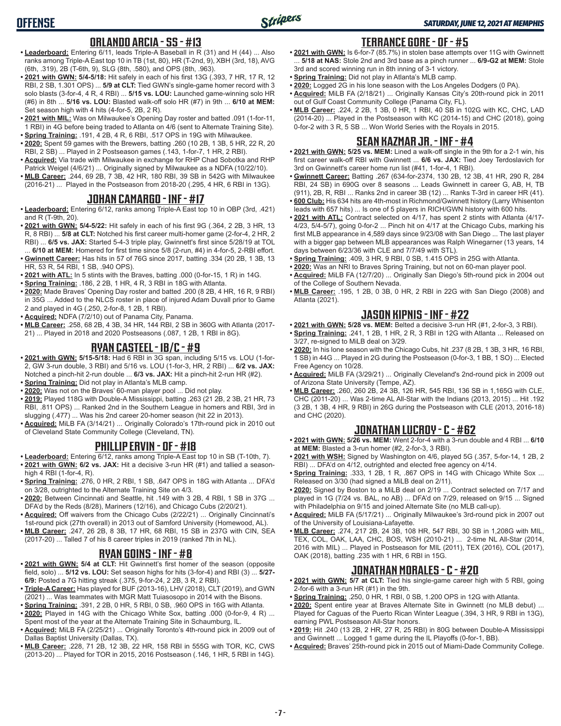#### **ORLANDO ARCIA - SS - #13**

- **• Leaderboard:** Entering 6/11, leads Triple-A Baseball in R (31) and H (44) ... Also ranks among Triple-A East top 10 in TB (1st, 80), HR (T-2nd, 9), XBH (3rd, 18), AVG (6th, .319), 2B (T-6th, 9), SLG (8th, .580), and OPS (8th, .963).
- **• 2021 with GWN: 5/4-5/18:** Hit safely in each of his first 13G (.393, 7 HR, 17 R, 12 RBI, 2 SB, 1.301 OPS) ... **5/9 at CLT:** Tied GWN's single-game homer record with 3 solo blasts (3-for-4, 4 R, 4 RBI) ... **5/15 vs. LOU:** Launched game-winning solo HR (#6) in 8th ... **5/16 vs. LOU:** Blasted walk-off solo HR (#7) in 9th ... **6/10 at MEM:**  Set season high with 4 hits (4-for-5, 2B, 2 R).
- **• 2021 with MIL:** Was on Milwaukee's Opening Day roster and batted .091 (1-for-11, 1 RBI) in 4G before being traded to Atlanta on 4/6 (sent to Alternate Training Site).
- **• Spring Training:** .191, 4 2B, 4 R, 6 RBI, .517 OPS in 19G with Milwaukee. **• 2020:** Spent 59 games with the Brewers, batting .260 (10 2B, 1 3B, 5 HR, 22 R, 20 RBI, 2 SB) ... Played in 2 Postseason games (.143, 1-for-7, 1 HR, 2 RBI).
- **• Acquired:** Via trade with Milwaukee in exchange for RHP Chad Sobotka and RHP Patrick Weigel (4/6/21) ... Originally signed by Milwaukee as a NDFA (10/22/10).
- **• MLB Career:** .244, 69 2B, 7 3B, 42 HR, 180 RBI, 39 SB in 542G with Milwaukee (2016-21) ... Played in the Postseason from 2018-20 (.295, 4 HR, 6 RBI in 13G).

#### **JOHAN CAMARGO - INF - #17**

- **• Leaderboard:** Entering 6/12, ranks among Triple-A East top 10 in OBP (3rd, .421) and R (T-9th, 20).
- **• 2021 with GWN: 5/4-5/22:** Hit safely in each of his first 9G (.364, 2 2B, 3 HR, 13 R, 8 RBI) ... **5/8 at CLT:** Notched his first career multi-homer game (2-for-4, 2 HR, 2 RBI) ... **6/5 vs. JAX:** Started 5-4-3 triple play, Gwinnett's first since 5/28/19 at TOL ... **6/10 at MEM:** Homered for first time since 5/8 (2-run, #4) in 4-for-5, 2-RBI effort.
- **• Gwinnett Career:** Has hits in 57 of 76G since 2017, batting .334 (20 2B, 1 3B, 13 HR, 53 R, 54 RBI, 1 SB, .940 OPS).
- **• 2021 with ATL:** In 5 stints with the Braves, batting .000 (0-for-15, 1 R) in 14G.
- **• Spring Training:** .186, 2 2B, 1 HR, 4 R, 3 RBI in 18G with Atlanta.
- **• 2020:** Made Braves' Opening Day roster and batted .200 (8 2B, 4 HR, 16 R, 9 RBI) in 35G ... Added to the NLCS roster in place of injured Adam Duvall prior to Game 2 and played in 4G (.250, 2-for-8, 1 2B, 1 RBI).
- **• Acquired:** NDFA (7/2/10) out of Panama City, Panama.
- **• MLB Career:** .258, 68 2B, 4 3B, 34 HR, 144 RBI, 2 SB in 360G with Atlanta (2017- 21) ... Played in 2018 and 2020 Postseasons (.087, 1 2B, 1 RBI in 8G).

#### **RYAN CASTEEL - 1B/C - #9**

- **• 2021 with GWN: 5/15-5/18:** Had 6 RBI in 3G span, including 5/15 vs. LOU (1-for-2, GW 3-run double, 3 RBI) and 5/16 vs. LOU (1-for-3, HR, 2 RBI) ... **6/2 vs. JAX:** Notched a pinch-hit 2-run double ... **6/3 vs. JAX:** Hit a pinch-hit 2-run HR (#2).
- **• Spring Training:** Did not play in Atlanta's MLB camp.
- **• 2020:** Was not on the Braves' 60-man player pool ... Did not play.
- **• 2019:** Played 118G with Double-A Mississippi, batting .263 (21 2B, 2 3B, 21 HR, 73 RBI, .811 OPS) ... Ranked 2nd in the Southern League in homers and RBI, 3rd in slugging (.477) ... Was his 2nd career 20-homer season (hit 22 in 2013).
- **• Acquired:** MiLB FA (3/14/21) ... Originally Colorado's 17th-round pick in 2010 out of Cleveland State Community College (Cleveland, TN).

#### **PHILLIP ERVIN - OF - #18**

- **• Leaderboard:** Entering 6/12, ranks among Triple-A East top 10 in SB (T-10th, 7).
- **• 2021 with GWN: 6/2 vs. JAX:** Hit a decisive 3-run HR (#1) and tallied a seasonhigh 4 RBI (1-for-4, R).
- **• Spring Training:** .276, 0 HR, 2 RBI, 1 SB, .647 OPS in 18G with Atlanta ... DFA'd on 3/28, outrighted to the Alternate Training Site on 4/3.
- **• 2020:** Between Cincinnati and Seattle, hit .149 with 3 2B, 4 RBI, 1 SB in 37G ... DFA'd by the Reds (8/28), Mariners (12/16), and Chicago Cubs (2/20/21).
- **• Acquired:** Off waivers from the Chicago Cubs (2/22/21) ... Originally Cincinnati's 1st-round pick (27th overall) in 2013 out of Samford University (Homewood, AL).
- **• MLB Career:** .247, 26 2B, 8 3B, 17 HR, 68 RBI, 15 SB in 237G with CIN, SEA (2017-20) ... Talled 7 of his 8 career triples in 2019 (ranked 7th in NL).

# **RYAN GOINS - INF - #8**

- **• 2021 with GWN: 5/4 at CLT:** Hit Gwinnett's first homer of the season (opposite field, solo) ... **5/12 vs. LOU:** Set season highs for hits (3-for-4) and RBI (3) ... **5/27- 6/9:** Posted a 7G hitting streak (.375, 9-for-24, 2 2B, 3 R, 2 RBI).
- **• Triple-A Career:** Has played for BUF (2013-16), LHV (2018), CLT (2019), and GWN (2021) ... Was teammates with MGR Matt Tuiasosopo in 2014 with the Bisons.
- **• Spring Training:** .391, 2 2B, 0 HR, 5 RBI, 0 SB, .960 OPS in 16G with Atlanta.
- **• 2020:** Played in 14G with the Chicago White Sox, batting .000 (0-for-9, 4 R) ... Spent most of the year at the Alternate Training Site in Schaumburg, IL.
- **• Acquired:** MiLB FA (2/25/21) ... Originally Toronto's 4th-round pick in 2009 out of Dallas Baptist University (Dallas, TX).
- **• MLB Career:** .228, 71 2B, 12 3B, 22 HR, 158 RBI in 555G with TOR, KC, CWS (2013-20) ... Played for TOR in 2015, 2016 Postseason (.146, 1 HR, 5 RBI in 14G).

# **TERRANCE GORE - OF - #5**

- **• 2021 with GWN:** Is 6-for-7 (85.7%) in stolen base attempts over 11G with Gwinnett ... **5/18 at NAS:** Stole 2nd and 3rd base as a pinch runner ... **6/9-G2 at MEM:** Stole 3rd and scored winning run in 8th inning of 3-1 victory.
- **• Spring Training:** Did not play in Atlanta's MLB camp.
- **• 2020:** Logged 2G in his lone season with the Los Angeles Dodgers (0 PA).
- **• Acquired:** MiLB FA (2/18/21) ... Originally Kansas City's 20th-round pick in 2011 out of Gulf Coast Community College (Panama City, FL).
- **• MLB Career:** .224, 2 2B, 1 3B, 0 HR, 1 RBI, 40 SB in 102G with KC, CHC, LAD (2014-20) ... Played in the Postseason with KC (2014-15) and CHC (2018), going 0-for-2 with 3 R, 5 SB ... Won World Series with the Royals in 2015.

# **SEAN KAZMAR JR. - INF - #4**

- **• 2021 with GWN: 5/25 vs. MEM:** Lined a walk-off single in the 9th for a 2-1 win, his first career walk-off RBI with Gwinnett ... **6/6 vs. JAX:** Tied Joey Terdoslavich for 3rd on Gwinnett's career home run list (#41, 1-for-4, 1 RBI).
- **• Gwinnett Career:** Batting .267 (634-for-2374, 130 2B, 12 3B, 41 HR, 290 R, 284 RBI, 24 SB) in 690G over 8 seasons ... Leads Gwinnett in career G, AB, H, TB (911), 2B, R, RBI ... Ranks 2nd in career 3B (12) ... Ranks T-3rd in career HR (41).
- **• 600 Club:** His 634 hits are 4th-most in Richmond/Gwinnett history (Larry Whisenton leads with 657 hits) ... Is one of 5 players in RICH/GWN history with 600 hits.
- **• 2021 with ATL:** Contract selected on 4/17, has spent 2 stints with Atlanta (4/17- 4/23, 5/4-5/7), going 0-for-2 ... Pinch hit on 4/17 at the Chicago Cubs, marking his first MLB appearance in 4,589 days since 9/23/08 with San Diego ... The last player with a bigger gap between MLB appearances was Ralph Winegarner (13 years, 14 days between 6/23/36 with CLE and 7/7/49 with STL).
- **• Spring Training:** .409, 3 HR, 9 RBI, 0 SB, 1.415 OPS in 25G with Atlanta.
- **• 2020:** Was an NRI to Braves Spring Training, but not on 60-man player pool. **• Acquired:** MiLB FA (12/7/20) ... Originally San Diego's 5th-round pick in 2004 out of the College of Southern Nevada.
- **• MLB Career:** .195, 1 2B, 0 3B, 0 HR, 2 RBI in 22G with San Diego (2008) and Atlanta (2021).

# **JASON KIPNIS - INF - #22**

- **• 2021 with GWN: 5/28 vs. MEM:** Belted a decisive 3-run HR (#1, 2-for-3, 3 RBI).
- **• Spring Training:** .241, 1 2B, 1 HR, 2 R, 3 RBI in 12G with Atlanta ... Released on 3/27, re-signed to MiLB deal on 3/29.
- **• 2020:** In his lone season with the Chicago Cubs, hit .237 (8 2B, 1 3B, 3 HR, 16 RBI, 1 SB) in 44G ... Played in 2G during the Postseason (0-for-3, 1 BB, 1 SO) ... Elected Free Agency on 10/28.
- **• Acquired:** MiLB FA (3/29/21) ... Originally Cleveland's 2nd-round pick in 2009 out of Arizona State University (Tempe, AZ).
- **• MLB Career:** .260, 260 2B, 24 3B, 126 HR, 545 RBI, 136 SB in 1,165G with CLE, CHC (2011-20) ... Was 2-time AL All-Star with the Indians (2013, 2015) ... Hit .192 (3 2B, 1 3B, 4 HR, 9 RBI) in 26G during the Postseason with CLE (2013, 2016-18) and CHC (2020).

# **JONATHAN LUCROY - C - #62**

- **• 2021 with GWN: 5/26 vs. MEM:** Went 2-for-4 with a 3-run double and 4 RBI ... **6/10 at MEM:** Blasted a 3-run homer (#2, 2-for-3, 3 RBI).
- **• 2021 with WSH:** Signed by Washington on 4/6, played 5G (.357, 5-for-14, 1 2B, 2 RBI) ... DFA'd on 4/12, outrighted and elected free agency on 4/14.
- **• Spring Training:** .333, 1 2B, 1 R, .867 OPS in 14G with Chicago White Sox ... Released on 3/30 (had signed a MiLB deal on 2/11).
- **• 2020:** Signed by Boston to a MiLB deal on 2/19 ... Contract selected on 7/17 and played in 1G (7/24 vs. BAL, no AB) ... DFA'd on 7/29, released on 9/15 ... Signed with Philadelphia on 9/15 and joined Alternate Site (no MLB call-up).
- **• Acquired:** MiLB FA (5/17/21) ... Originally Milwaukee's 3rd-round pick in 2007 out of the University of Louisiana-Lafayette.
- **• MLB Career:** .274, 217 2B, 24 3B, 108 HR, 547 RBI, 30 SB in 1,208G with MIL, TEX, COL, OAK, LAA, CHC, BOS, WSH (2010-21) ... 2-time NL All-Star (2014, 2016 with MIL) ... Played in Postseason for MIL (2011), TEX (2016), COL (2017), OAK (2018), batting .235 with 1 HR, 6 RBI in 15G.

# **JONATHAN MORALES - C - #20**

- **• 2021 with GWN: 5/7 at CLT:** Tied his single-game career high with 5 RBI, going 2-for-6 with a 3-run HR (#1) in the 9th.
- **• Spring Training:** .250, 0 HR, 1 RBI, 0 SB, 1.200 OPS in 12G with Atlanta.
- **• 2020:** Spent entire year at Braves Alternate Site in Gwinnett (no MLB debut) ... Played for Caguas of the Puerto Rican Winter League (.394, 3 HR, 9 RBI in 13G), earning PWL Postseason All-Star honors.
- **• 2019:** Hit .240 (13 2B, 2 HR, 27 R, 25 RBI) in 80G between Double-A Mississippi and Gwinnett ... Logged 1 game during the IL Playoffs (0-for-1, BB).
- **• Acquired:** Braves' 25th-round pick in 2015 out of Miami-Dade Community College.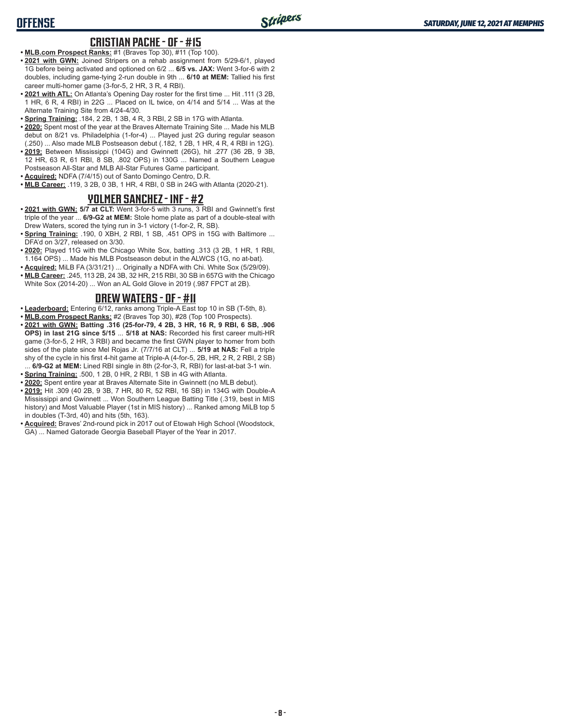#### **CRISTIAN PACHE - OF - #15**

- **• MLB.com Prospect Ranks:** #1 (Braves Top 30), #11 (Top 100).
- **• 2021 with GWN:** Joined Stripers on a rehab assignment from 5/29-6/1, played 1G before being activated and optioned on 6/2 ... **6/5 vs. JAX:** Went 3-for-6 with 2 doubles, including game-tying 2-run double in 9th ... **6/10 at MEM:** Tallied his first career multi-homer game (3-for-5, 2 HR, 3 R, 4 RBI).
- **• 2021 with ATL:** On Atlanta's Opening Day roster for the first time ... Hit .111 (3 2B, 1 HR, 6 R, 4 RBI) in 22G ... Placed on IL twice, on 4/14 and 5/14 ... Was at the Alternate Training Site from 4/24-4/30.
- **• Spring Training:** .184, 2 2B, 1 3B, 4 R, 3 RBI, 2 SB in 17G with Atlanta.
- **• 2020:** Spent most of the year at the Braves Alternate Training Site ... Made his MLB debut on 8/21 vs. Philadelphia (1-for-4) ... Played just 2G during regular season (.250) ... Also made MLB Postseason debut (.182, 1 2B, 1 HR, 4 R, 4 RBI in 12G).
- **• 2019:** Between Mississippi (104G) and Gwinnett (26G), hit .277 (36 2B, 9 3B, 12 HR, 63 R, 61 RBI, 8 SB, .802 OPS) in 130G ... Named a Southern League Postseason All-Star and MLB All-Star Futures Game participant.
- **• Acquired:** NDFA (7/4/15) out of Santo Domingo Centro, D.R.
- **• MLB Career:** .119, 3 2B, 0 3B, 1 HR, 4 RBI, 0 SB in 24G with Atlanta (2020-21).

#### **YOLMER SANCHEZ - INF - #2**

- **• 2021 with GWN: 5/7 at CLT:** Went 3-for-5 with 3 runs, 3 RBI and Gwinnett's first triple of the year ... **6/9-G2 at MEM:** Stole home plate as part of a double-steal with Drew Waters, scored the tying run in 3-1 victory (1-for-2, R, SB).
- **• Spring Training:** .190, 0 XBH, 2 RBI, 1 SB, .451 OPS in 15G with Baltimore ... DFA'd on 3/27, released on 3/30.
- **• 2020:** Played 11G with the Chicago White Sox, batting .313 (3 2B, 1 HR, 1 RBI, 1.164 OPS) ... Made his MLB Postseason debut in the ALWCS (1G, no at-bat).
- **• Acquired:** MiLB FA (3/31/21) ... Originally a NDFA with Chi. White Sox (5/29/09).
- **• MLB Career:** .245, 113 2B, 24 3B, 32 HR, 215 RBI, 30 SB in 657G with the Chicago White Sox (2014-20) ... Won an AL Gold Glove in 2019 (.987 FPCT at 2B).

#### **DREW WATERS - OF - #11**

- **• Leaderboard:** Entering 6/12, ranks among Triple-A East top 10 in SB (T-5th, 8).
- **• MLB.com Prospect Ranks:** #2 (Braves Top 30), #28 (Top 100 Prospects). **• 2021 with GWN: Batting .316 (25-for-79, 4 2B, 3 HR, 16 R, 9 RBI, 6 SB, .906 OPS) in last 21G since 5/15** ... **5/18 at NAS:** Recorded his first career multi-HR game (3-for-5, 2 HR, 3 RBI) and became the first GWN player to homer from both sides of the plate since Mel Rojas Jr. (7/7/16 at CLT) ... **5/19 at NAS:** Fell a triple shy of the cycle in his first 4-hit game at Triple-A (4-for-5, 2B, HR, 2 R, 2 RBI, 2 SB)
- ... **6/9-G2 at MEM:** Lined RBI single in 8th (2-for-3, R, RBI) for last-at-bat 3-1 win.
- **• Spring Training:** .500, 1 2B, 0 HR, 2 RBI, 1 SB in 4G with Atlanta.
- **• 2020:** Spent entire year at Braves Alternate Site in Gwinnett (no MLB debut).
- **• 2019:** Hit .309 (40 2B, 9 3B, 7 HR, 80 R, 52 RBI, 16 SB) in 134G with Double-A Mississippi and Gwinnett ... Won Southern League Batting Title (.319, best in MIS history) and Most Valuable Player (1st in MIS history) ... Ranked among MiLB top 5 in doubles (T-3rd, 40) and hits (5th, 163).
- **• Acquired:** Braves' 2nd-round pick in 2017 out of Etowah High School (Woodstock, GA) ... Named Gatorade Georgia Baseball Player of the Year in 2017.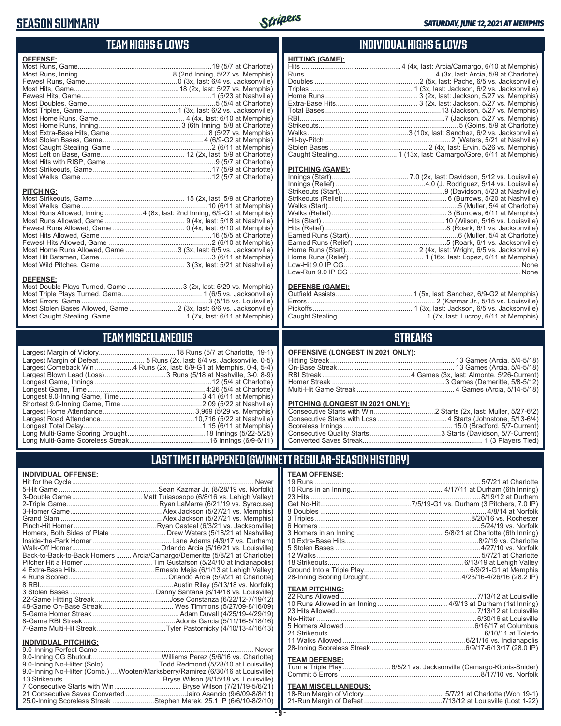# **SEASON SUMMARY**



### **TEAM HIGHS & LOWS**

| <b>OFFENSE:</b>                                                      |  |
|----------------------------------------------------------------------|--|
|                                                                      |  |
|                                                                      |  |
|                                                                      |  |
|                                                                      |  |
| <b>PITCHING:</b>                                                     |  |
|                                                                      |  |
| Most Runs Allowed, Inning4 (8x, last: 2nd Inning, 6/9-G1 at Memphis) |  |
|                                                                      |  |
|                                                                      |  |
|                                                                      |  |
|                                                                      |  |
| Most Home Runs Allowed, Game  3 (3x, last: 6/5 vs. Jacksonville)     |  |
|                                                                      |  |

Most Wild Pitches, Game ............................................ 3 (3x, last: 5/21 at Nashville)

Most Double Plays Turned, Game .............................3 (2x, last: 5/29 vs. Memphis) Most Triple Plays Turned, Game .......................................... 1 (6/5 vs. Jacksonville) Most Errors, Game ..................................................................3 (5/15 vs. Louisville) Most Stolen Bases Allowed, Game .........................2 (3x, last: 6/6 vs. Jacksonville) Most Caught Stealing, Game ...................................... 1 (7x, last: 6/11 at Memphis)

#### **INDIVIDUAL HIGHS & LOWS**

| <b>HITTING (GAME):</b> |  |
|------------------------|--|
|                        |  |
|                        |  |
|                        |  |
|                        |  |
|                        |  |
|                        |  |
|                        |  |
|                        |  |
|                        |  |
|                        |  |
|                        |  |
|                        |  |
|                        |  |

#### **PITCHING (GAME):**

#### **DEFENSE (GAME):**

#### **STREAKS**

|  |  | <b>OFFENSIVE (LONGEST IN 2021 ONLY):</b> |
|--|--|------------------------------------------|
|--|--|------------------------------------------|

#### **PITCHING (LONGEST IN 2021 ONLY):**

#### **LAST TIME IT HAPPENED (GWINNETT REGULAR-SEASON HISTORY)**

|           | <b>TEAM OFFENSE:</b>  |  |
|-----------|-----------------------|--|
| Never     |                       |  |
| lorfolk)  |                       |  |
| Vallev)   |                       |  |
| acuse)    |                       |  |
| mphis)    |                       |  |
| mphis)    |                       |  |
| onville)  |                       |  |
| shville)  |                       |  |
| urham)    |                       |  |
| iisville) |                       |  |
| arlotte)  |                       |  |
| apolis)   |                       |  |
| Valley)   |                       |  |
| arlotte)  |                       |  |
| lorfolk)  |                       |  |
| iisville) | <b>TEAM PITCHING:</b> |  |
| (19/12)   |                       |  |
| (16/09)   |                       |  |
| 29/19)    |                       |  |
| 18/16     |                       |  |
| (16/13)   |                       |  |
|           |                       |  |
|           |                       |  |
| Never     |                       |  |
| arlotte)  | <b>TEAM DEFENSE:</b>  |  |
| (alliveir |                       |  |

|                                                        | 10 Extra-Base Hits    |
|--------------------------------------------------------|-----------------------|
| Orlando Arcia (5/16/21 vs. Louisville)                 | 5 Stolen Bases        |
| Arcia/Camargo/Demeritte (5/8/21 at Charlotte)          | 12 Walks              |
| Tim Gustafson (5/24/10 at Indianapolis)                | 18 Strikeouts         |
| Ernesto Mejia (6/1/13 at Lehigh Valley) <mark>l</mark> | Ground Into a Triple  |
| Orlando Arcia (5/9/21 at Charlotte)                    | 28-Inning Scoring D   |
|                                                        |                       |
| ∴ Danny Santana (8/14/18 vs. Louisville)  <br>.        | <b>TEAM PITCHING:</b> |
| lose Constanza (6/22/12-7/10/12)                       | 22 Runs Allowed       |

|  | Turn a Triple Play 6/5/21 vs. Jacksonville (Camargo-Kipnis-Snider) |  |
|--|--------------------------------------------------------------------|--|
|  |                                                                    |  |

# **TEAM MISCELLANEOUS:**<br>18-Run Margin of Victory....

# **TEAM MISCELLANEOUS** Largest Margin of Victory........................................ 18 Runs (5/7 at Charlotte, 19-1)

| Largest Comeback Win 4 Runs (2x, last: 6/9-G1 at Memphis, 0-4, 5-4) |
|---------------------------------------------------------------------|
| Largest Blown Lead (Loss) 3 Runs (5/18 at Nashville, 3-0, 8-9)      |
|                                                                     |
|                                                                     |
|                                                                     |
|                                                                     |
|                                                                     |
|                                                                     |
|                                                                     |
|                                                                     |
|                                                                     |
|                                                                     |

#### **INDIVIDUAL OFFENSE:**

**DEFENSE:**

|                             | Homers, Both Sides of Plate ………………………… Drew Waters (5/18/21 at Nashville)  |
|-----------------------------|----------------------------------------------------------------------------|
|                             |                                                                            |
|                             |                                                                            |
|                             | Back-to-Back-to-Back Homers  Arcia/Camargo/Demeritte (5/8/21 at Charlotte) |
|                             |                                                                            |
|                             |                                                                            |
|                             |                                                                            |
|                             |                                                                            |
|                             |                                                                            |
|                             |                                                                            |
|                             |                                                                            |
|                             |                                                                            |
|                             |                                                                            |
|                             |                                                                            |
| <b>INDIVIDUAL PITCHING:</b> |                                                                            |
|                             |                                                                            |

| 9.0-Inning No-Hitter (Solo)Todd Redmond (5/28/10 at Louisville)                 |  |
|---------------------------------------------------------------------------------|--|
| 9.0-Inning No-Hitter (Comb.)  Wooten/Marksberry/Ramirez (6/30/16 at Louisville) |  |
|                                                                                 |  |
|                                                                                 |  |
| 21 Consecutive Saves Converted Jairo Asencio (9/6/09-8/8/11)                    |  |
| 25.0-Inning Scoreless Streak Stephen Marek, 25.1 IP (6/6/10-8/2/10)             |  |
|                                                                                 |  |